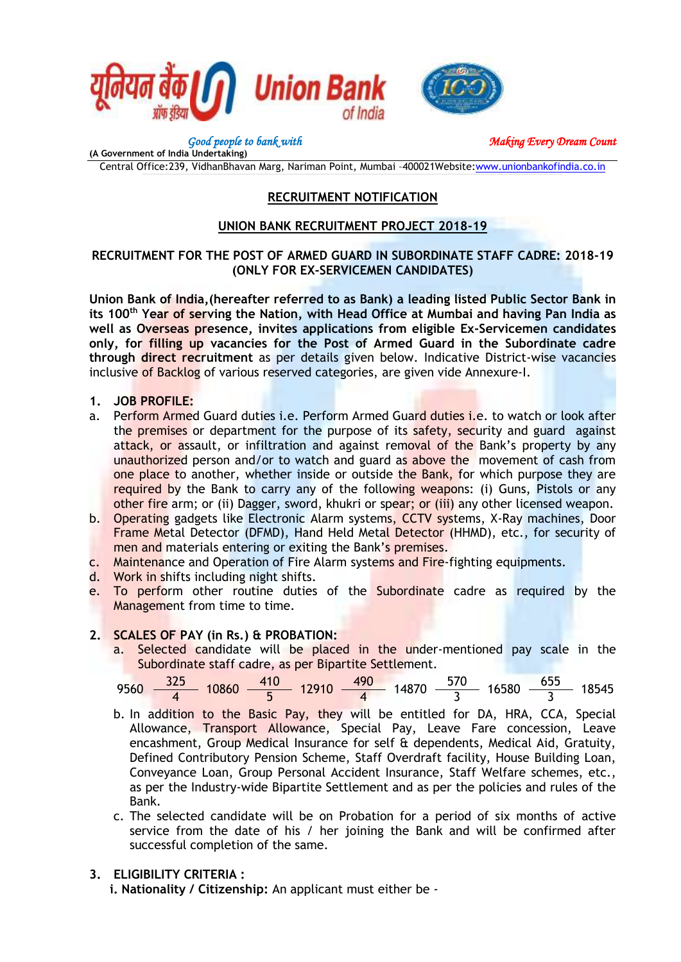

**(A Government of India Undertaking)**

*Good people to bank with* Making Every Dream Count

Central Office:239, VidhanBhavan Marg, Nariman Point, Mumbai –400021Website[:www.unionbankofindia.co.in](http://www.unionbankofindia.co.in/)

# **RECRUITMENT NOTIFICATION**

# **UNION BANK RECRUITMENT PROJECT 2018-19**

# **RECRUITMENT FOR THE POST OF ARMED GUARD IN SUBORDINATE STAFF CADRE: 2018-19 (ONLY FOR EX-SERVICEMEN CANDIDATES)**

**Union Bank of India,(hereafter referred to as Bank) a leading listed Public Sector Bank in its 100th Year of serving the Nation, with Head Office at Mumbai and having Pan India as well as Overseas presence, invites applications from eligible Ex-Servicemen candidates only, for filling up vacancies for the Post of Armed Guard in the Subordinate cadre through direct recruitment** as per details given below. Indicative District-wise vacancies inclusive of Backlog of various reserved categories, are given vide Annexure-I.

- **1. JOB PROFILE:**
- a. Perform Armed Guard duties i.e. Perform Armed Guard duties i.e. to watch or look after the premises or department for the purpose of its safety, security and guard against attack, or assault, or infiltration and against removal of the Bank's property by any unauthorized person and/or to watch and guard as above the movement of cash from one place to another, whether inside or outside the Bank, for which purpose they are required by the Bank to carry any of the following weapons: (i) Guns, Pistols or any other fire arm; or (ii) Dagger, sword, khukri or spear; or (iii) any other licensed weapon.
- b. Operating gadgets like Electronic Alarm systems, CCTV systems, X-Ray machines, Door Frame Metal Detector (DFMD), Hand Held Metal Detector (HHMD), etc., for security of men and materials entering or exiting the Bank's premises.
- c. Maintenance and Operation of Fire Alarm systems and Fire-fighting equipments.
- d. Work in shifts including night shifts.
- e. To perform other routine duties of the Subordinate cadre as required by the Management from time to time.

# **2. SCALES OF PAY (in Rs.) & PROBATION:**

a. Selected candidate will be placed in the under-mentioned pay scale in the Subordinate staff cadre, as per Bipartite Settlement.

$$
9560 \frac{325}{4} 10860 \frac{410}{5} 12910 \frac{490}{4} 14870 \frac{570}{3} 16580 \frac{655}{3} 18545
$$

- b. In addition to the Basic Pay, they will be entitled for DA, HRA, CCA, Special Allowance, Transport Allowance, Special Pay, Leave Fare concession, Leave encashment, Group Medical Insurance for self & dependents, Medical Aid. Gratuity. Defined Contributory Pension Scheme, Staff Overdraft facility, House Building Loan, Conveyance Loan, Group Personal Accident Insurance, Staff Welfare schemes, etc., as per the Industry-wide Bipartite Settlement and as per the policies and rules of the Bank.
- c. The selected candidate will be on Probation for a period of six months of active service from the date of his / her joining the Bank and will be confirmed after successful completion of the same.

# **3. ELIGIBILITY CRITERIA :**

**i. Nationality / Citizenship:** An applicant must either be -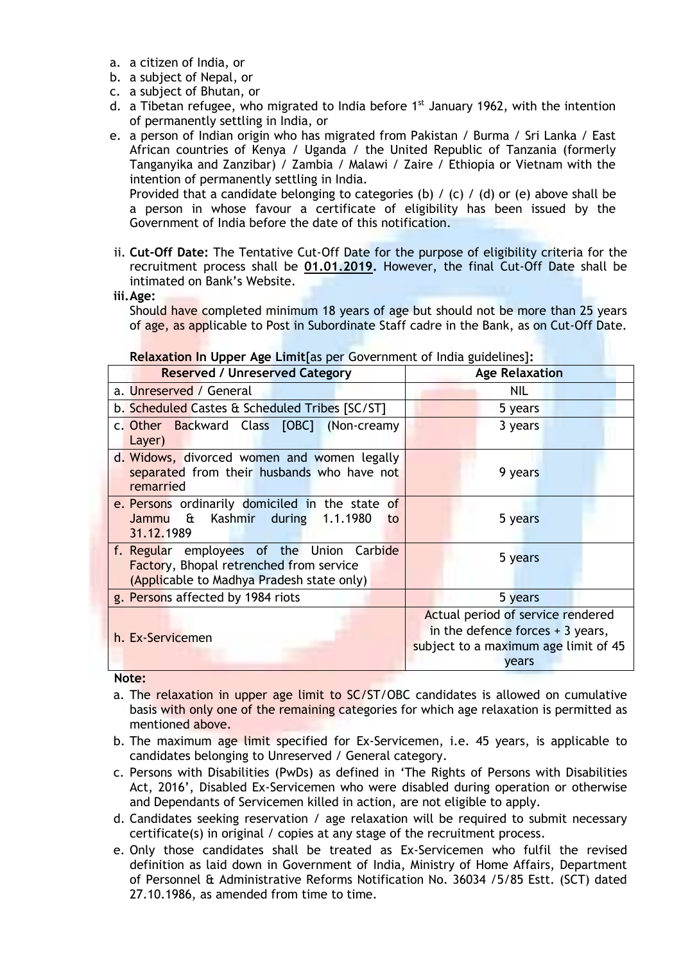- a. a citizen of India, or
- b. a subject of Nepal, or
- c. a subject of Bhutan, or
- d. a Tibetan refugee, who migrated to India before  $1<sup>st</sup>$  January 1962, with the intention of permanently settling in India, or
- e. a person of Indian origin who has migrated from Pakistan / Burma / Sri Lanka / East African countries of Kenya / Uganda / the United Republic of Tanzania (formerly Tanganyika and Zanzibar) / Zambia / Malawi / Zaire / Ethiopia or Vietnam with the intention of permanently settling in India.

Provided that a candidate belonging to categories (b) / (c) / (d) or (e) above shall be a person in whose favour a certificate of eligibility has been issued by the Government of India before the date of this notification.

- ii. **Cut-Off Date:** The Tentative Cut-Off Date for the purpose of eligibility criteria for the recruitment process shall be **01.01.2019.** However, the final Cut-Off Date shall be intimated on Bank's Website.
- **iii.Age:**

Should have completed minimum 18 years of age but should not be more than 25 years of age, as applicable to Post in Subordinate Staff cadre in the Bank, as on Cut-Off Date.

| <b>INCREAD OF THE OPPLE AGO EMMINIUS POL OUTCHMINING</b> OF MIGRI SURCHMOT.<br><b>Reserved / Unreserved Category</b> | <b>Age Relaxation</b>                |  |  |
|----------------------------------------------------------------------------------------------------------------------|--------------------------------------|--|--|
| a. Unreserved / General                                                                                              | NIL                                  |  |  |
| b. Scheduled Castes & Scheduled Tribes [SC/ST]                                                                       | 5 years                              |  |  |
| c. Other Backward Class [OBC] (Non-creamy                                                                            | 3 years                              |  |  |
| Layer)                                                                                                               |                                      |  |  |
| d. Widows, divorced women and women legally<br>separated from their husbands who have not<br>remarried               | 9 years                              |  |  |
| e. Persons ordinarily domiciled in the state of                                                                      |                                      |  |  |
| Kashmir during 1.1.1980<br>Jammu &<br>to<br>31.12.1989                                                               | 5 years                              |  |  |
| f. Regular employees of the Union Carbide<br><b>Factory, Bhopal retrenched from service</b>                          | 5 years                              |  |  |
| (Applicable to Madhya Pradesh state only)                                                                            |                                      |  |  |
| g. Persons affected by 1984 riots                                                                                    | 5 years                              |  |  |
|                                                                                                                      | Actual period of service rendered    |  |  |
| h. Ex-Servicemen                                                                                                     | in the defence forces $+3$ years,    |  |  |
|                                                                                                                      | subject to a maximum age limit of 45 |  |  |
|                                                                                                                      | years                                |  |  |

#### **Relaxation In Upper Age Limit**[as per Government of India guidelines]**:**

**Note:**

- a. The relaxation in upper age limit to SC/ST/OBC candidates is allowed on cumulative basis with only one of the remaining categories for which age relaxation is permitted as mentioned above.
- b. The maximum age limit specified for Ex-Servicemen, i.e. 45 years, is applicable to candidates belonging to Unreserved / General category.
- c. Persons with Disabilities (PwDs) as defined in 'The Rights of Persons with Disabilities Act, 2016', Disabled Ex-Servicemen who were disabled during operation or otherwise and Dependants of Servicemen killed in action, are not eligible to apply.
- d. Candidates seeking reservation / age relaxation will be required to submit necessary certificate(s) in original / copies at any stage of the recruitment process.
- e. Only those candidates shall be treated as Ex-Servicemen who fulfil the revised definition as laid down in Government of India, Ministry of Home Affairs, Department of Personnel & Administrative Reforms Notification No. 36034 /5/85 Estt. (SCT) dated 27.10.1986, as amended from time to time.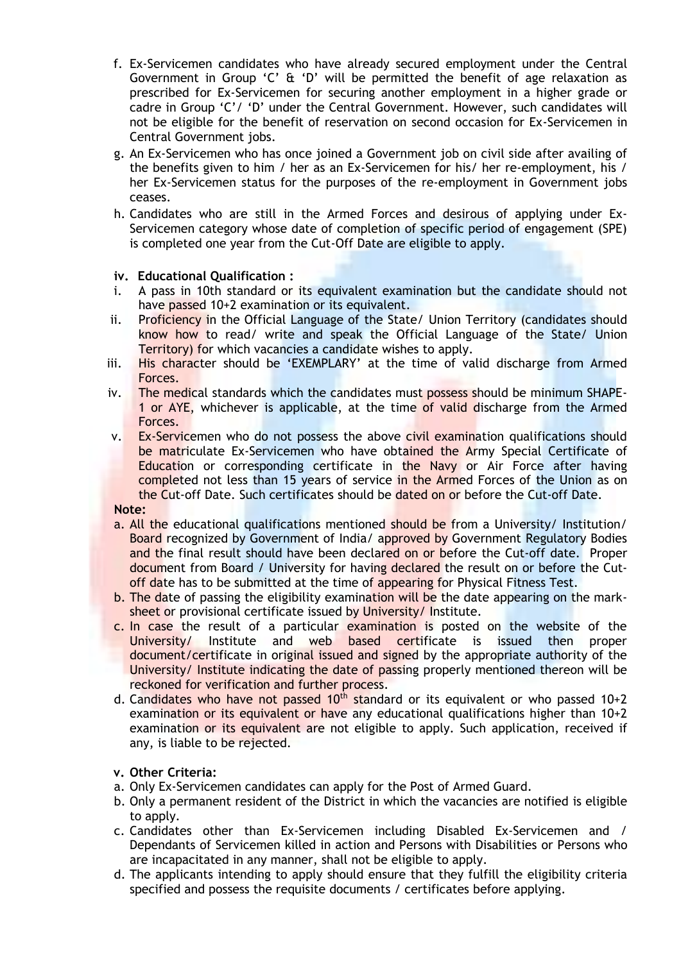- f. Ex-Servicemen candidates who have already secured employment under the Central Government in Group 'C' & 'D' will be permitted the benefit of age relaxation as prescribed for Ex-Servicemen for securing another employment in a higher grade or cadre in Group 'C'/ 'D' under the Central Government. However, such candidates will not be eligible for the benefit of reservation on second occasion for Ex-Servicemen in Central Government jobs.
- g. An Ex-Servicemen who has once joined a Government job on civil side after availing of the benefits given to him / her as an Ex-Servicemen for his/ her re-employment, his / her Ex-Servicemen status for the purposes of the re-employment in Government jobs ceases.
- h. Candidates who are still in the Armed Forces and desirous of applying under Ex-Servicemen category whose date of completion of specific period of engagement (SPE) is completed one year from the Cut-Off Date are eligible to apply.

#### **iv. Educational Qualification :**

- i. A pass in 10th standard or its equivalent examination but the candidate should not have passed 10+2 examination or its equivalent.
- ii. Proficiency in the Official Language of the State/ Union Territory (candidates should know how to read/ write and speak the Official Language of the State/ Union Territory) for which vacancies a candidate wishes to apply.
- iii. His character should be 'EXEMPLARY' at the time of valid discharge from Armed Forces.
- iv. The medical standards which the candidates must possess should be minimum SHAPE-1 or AYE, whichever is applicable, at the time of valid discharge from the Armed Forces.
- v. Ex-Servicemen who do not possess the above civil examination qualifications should be matriculate Ex-Servicemen who have obtained the Army Special Certificate of Education or corresponding certificate in the Navy or Air Force after having completed not less than 15 years of service in the Armed Forces of the Union as on the Cut-off Date. Such certificates should be dated on or before the Cut-off Date.

#### **Note:**

- a. All the educational qualifications mentioned should be from a University/ Institution/ Board recognized by Government of India/ approved by Government Regulatory Bodies and the final result should have been declared on or before the Cut-off date. Proper document from Board / University for having declared the result on or before the Cutoff date has to be submitted at the time of appearing for Physical Fitness Test.
- b. The date of passing the eligibility examination will be the date appearing on the marksheet or provisional certificate issued by University/ Institute.
- c. In case the result of a particular examination is posted on the website of the University/ Institute and web based certificate is issued then proper document/certificate in original issued and signed by the appropriate authority of the University/ Institute indicating the date of passing properly mentioned thereon will be reckoned for verification and further process.
- d. Candidates who have not passed  $10^{th}$  standard or its equivalent or who passed  $10+2$ examination or its equivalent or have any educational qualifications higher than  $10+2$ examination or its equivalent are not eligible to apply. Such application, received if any, is liable to be rejected.

#### **v. Other Criteria:**

- a. Only Ex-Servicemen candidates can apply for the Post of Armed Guard.
- b. Only a permanent resident of the District in which the vacancies are notified is eligible to apply.
- c. Candidates other than Ex-Servicemen including Disabled Ex-Servicemen and / Dependants of Servicemen killed in action and Persons with Disabilities or Persons who are incapacitated in any manner, shall not be eligible to apply.
- d. The applicants intending to apply should ensure that they fulfill the eligibility criteria specified and possess the requisite documents / certificates before applying.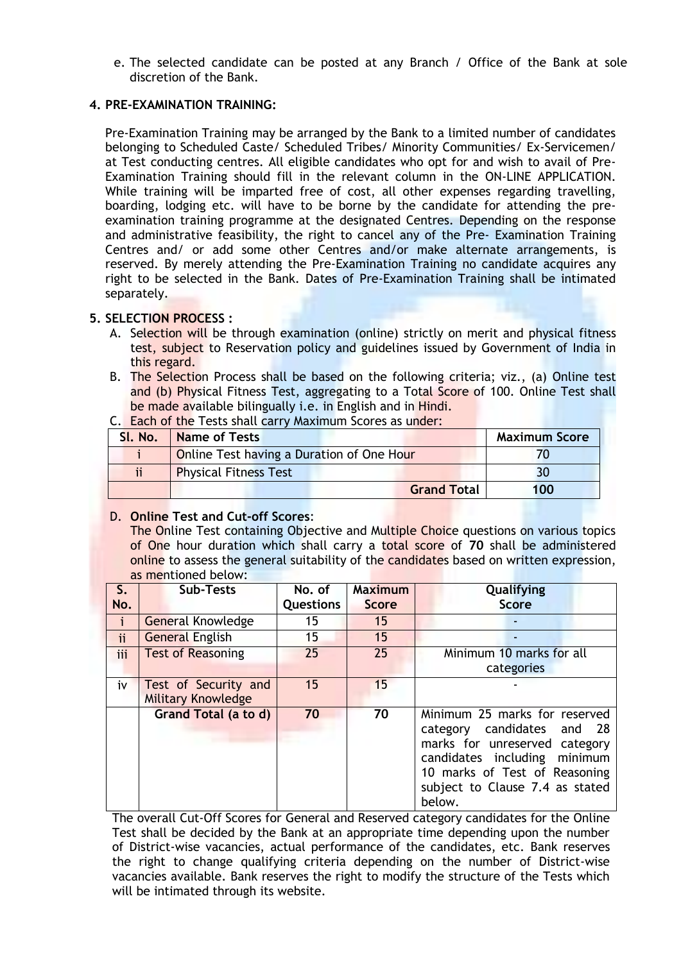e. The selected candidate can be posted at any Branch / Office of the Bank at sole discretion of the Bank.

# **4. PRE-EXAMINATION TRAINING:**

Pre-Examination Training may be arranged by the Bank to a limited number of candidates belonging to Scheduled Caste/ Scheduled Tribes/ Minority Communities/ Ex-Servicemen/ at Test conducting centres. All eligible candidates who opt for and wish to avail of Pre-Examination Training should fill in the relevant column in the ON-LINE APPLICATION. While training will be imparted free of cost, all other expenses regarding travelling, boarding, lodging etc. will have to be borne by the candidate for attending the preexamination training programme at the designated Centres. Depending on the response and administrative feasibility, the right to cancel any of the Pre- Examination Training Centres and/ or add some other Centres and/or make alternate arrangements, is reserved. By merely attending the Pre-Examination Training no candidate acquires any right to be selected in the Bank. Dates of Pre-Examination Training shall be intimated separately.

# **5. SELECTION PROCESS :**

- A. Selection will be through examination (online) strictly on merit and physical fitness test, subject to Reservation policy and guidelines issued by Government of India in this regard.
- B. The Selection Process shall be based on the following criteria; viz., (a) Online test and (b) Physical Fitness Test, aggregating to a Total Score of 100. Online Test shall be made available bilingually *i.e.* in English and in Hindi.
- C. Each of the Tests shall carry Maximum Scores as under:

| Sl. No.   | <b>Name of Tests</b>                      | <b>Maximum Score</b> |
|-----------|-------------------------------------------|----------------------|
|           | Online Test having a Duration of One Hour |                      |
| <b>ii</b> | <b>Physical Fitness Test</b>              |                      |
|           | <b>Grand Total</b>                        | 100                  |

# D. **Online Test and Cut-off Scores**:

The Online Test containing Objective and Multiple Choice questions on various topics of One hour duration which shall carry a total score of **70** shall be administered online to assess the general suitability of the candidates based on written expression, as mentioned below:

| $S_{\cdot}$ | <b>Sub-Tests</b>          | No. of           | <b>Maximum</b> | Qualifying                                                                                                                                                                                                      |
|-------------|---------------------------|------------------|----------------|-----------------------------------------------------------------------------------------------------------------------------------------------------------------------------------------------------------------|
| No.         |                           | <b>Questions</b> | <b>Score</b>   | <b>Score</b>                                                                                                                                                                                                    |
| i           | <b>General Knowledge</b>  | 15               | 15             |                                                                                                                                                                                                                 |
| ii          | <b>General English</b>    | 15               | 15             |                                                                                                                                                                                                                 |
| iii         | <b>Test of Reasoning</b>  | 25               | 25             | Minimum 10 marks for all                                                                                                                                                                                        |
|             |                           |                  |                | categories                                                                                                                                                                                                      |
| iv          | Test of Security and      | 15               | 15             |                                                                                                                                                                                                                 |
|             | <b>Military Knowledge</b> |                  |                |                                                                                                                                                                                                                 |
|             | Grand Total (a to d)      | 70               | 70             | Minimum 25 marks for reserved<br>category candidates and<br>- 28<br>marks for unreserved category<br>candidates including minimum<br>10 marks of Test of Reasoning<br>subject to Clause 7.4 as stated<br>below. |

The overall Cut-Off Scores for General and Reserved category candidates for the Online Test shall be decided by the Bank at an appropriate time depending upon the number of District-wise vacancies, actual performance of the candidates, etc. Bank reserves the right to change qualifying criteria depending on the number of District-wise vacancies available. Bank reserves the right to modify the structure of the Tests which will be intimated through its website.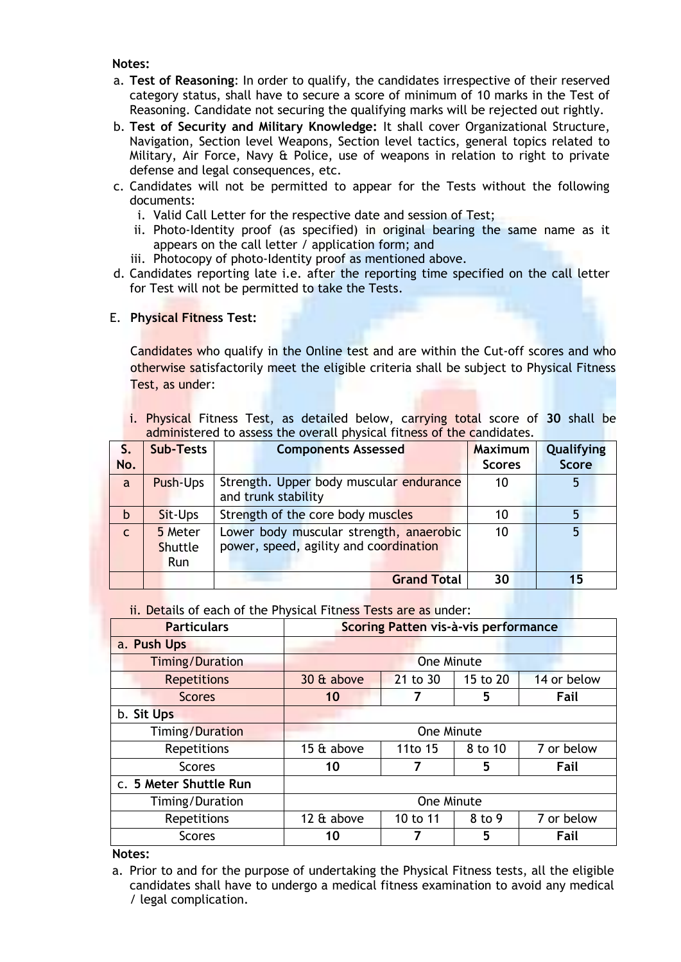**Notes:**

- a. **Test of Reasoning**: In order to qualify, the candidates irrespective of their reserved category status, shall have to secure a score of minimum of 10 marks in the Test of Reasoning. Candidate not securing the qualifying marks will be rejected out rightly.
- b. **Test of Security and Military Knowledge:** It shall cover Organizational Structure, Navigation, Section level Weapons, Section level tactics, general topics related to Military, Air Force, Navy & Police, use of weapons in relation to right to private defense and legal consequences, etc.
- c. Candidates will not be permitted to appear for the Tests without the following documents:
	- i. Valid Call Letter for the respective date and session of Test;
	- ii. Photo-Identity proof (as specified) in original bearing the same name as it appears on the call letter / application form; and
	- iii. Photocopy of photo-Identity proof as mentioned above.
- d. Candidates reporting late i.e. after the reporting time specified on the call letter for Test will not be permitted to take the Tests.

# E. **Physical Fitness Test:**

Candidates who qualify in the Online test and are within the Cut-off scores and who otherwise satisfactorily meet the eligible criteria shall be subject to Physical Fitness Test, as under:

i. Physical Fitness Test, as detailed below, carrying total score of **30** shall be administered to assess the overall physical fitness of the candidates.

| S.           | <b>Sub-Tests</b>                        | animized ca to assess the ordinal physical hences of the candidates.<br><b>Components Assessed</b> | <b>Maximum</b> | Qualifying   |
|--------------|-----------------------------------------|----------------------------------------------------------------------------------------------------|----------------|--------------|
| No.          |                                         |                                                                                                    | <b>Scores</b>  | <b>Score</b> |
| a            | Push-Ups                                | Strength. Upper body muscular endurance<br>and trunk stability                                     | 10             | 5            |
| b            | Sit-Ups                                 | Strength of the core body muscles                                                                  | 10             |              |
| $\mathsf{C}$ | 5 Meter<br><b>Shuttle</b><br><b>Run</b> | Lower body muscular strength, anaerobic<br>power, speed, agility and coordination                  | 10             | 5            |
|              |                                         | <b>Grand Total</b>                                                                                 | 30             | 15           |

ii. Details of each of the Physical Fitness Tests are as under:

| <b>Particulars</b>     | Scoring Patten vis-à-vis performance           |                                     |         |            |  |  |  |
|------------------------|------------------------------------------------|-------------------------------------|---------|------------|--|--|--|
| a. Push Ups            |                                                |                                     |         |            |  |  |  |
| <b>Timing/Duration</b> |                                                | <b>One Minute</b>                   |         |            |  |  |  |
| <b>Repetitions</b>     | 30 & above                                     | 14 or below<br>21 to 30<br>15 to 20 |         |            |  |  |  |
| <b>Scores</b>          | 10                                             |                                     | 5       | Fail       |  |  |  |
| b. Sit Ups             |                                                |                                     |         |            |  |  |  |
| <b>Timing/Duration</b> |                                                | One Minute                          |         |            |  |  |  |
| <b>Repetitions</b>     | 15 & above                                     | 11to 15                             | 8 to 10 | 7 or below |  |  |  |
| <b>Scores</b>          | 10                                             | 7                                   | 5       | Fail       |  |  |  |
| c. 5 Meter Shuttle Run |                                                |                                     |         |            |  |  |  |
| Timing/Duration        | One Minute                                     |                                     |         |            |  |  |  |
| Repetitions            | 12 & above<br>8 to 9<br>7 or below<br>10 to 11 |                                     |         |            |  |  |  |
| <b>Scores</b>          | 10                                             |                                     | 5       | Fail       |  |  |  |

#### **Notes:**

a. Prior to and for the purpose of undertaking the Physical Fitness tests, all the eligible candidates shall have to undergo a medical fitness examination to avoid any medical / legal complication.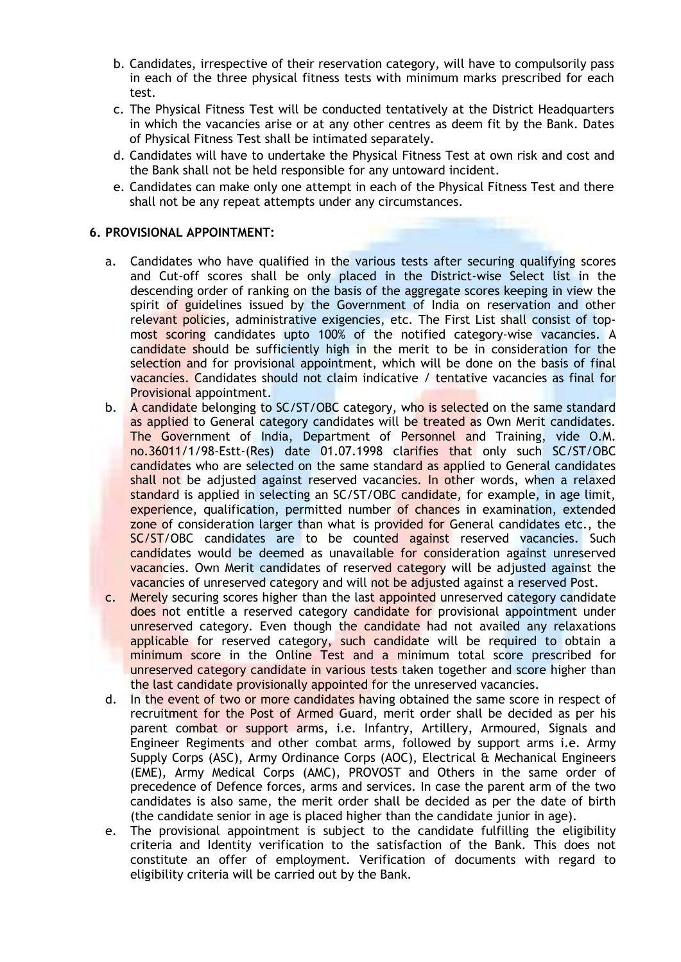- b. Candidates, irrespective of their reservation category, will have to compulsorily pass in each of the three physical fitness tests with minimum marks prescribed for each test.
- c. The Physical Fitness Test will be conducted tentatively at the District Headquarters in which the vacancies arise or at any other centres as deem fit by the Bank. Dates of Physical Fitness Test shall be intimated separately.
- d. Candidates will have to undertake the Physical Fitness Test at own risk and cost and the Bank shall not be held responsible for any untoward incident.
- e. Candidates can make only one attempt in each of the Physical Fitness Test and there shall not be any repeat attempts under any circumstances.

### **6. PROVISIONAL APPOINTMENT:**

- a. Candidates who have qualified in the various tests after securing qualifying scores and Cut-off scores shall be only placed in the District-wise Select list in the descending order of ranking on the basis of the aggregate scores keeping in view the spirit of guidelines issued by the Government of India on reservation and other relevant policies, administrative exigencies, etc. The First List shall consist of topmost scoring candidates upto 100% of the notified category-wise vacancies. A candidate should be sufficiently high in the merit to be in consideration for the selection and for provisional appointment, which will be done on the basis of final vacancies. Candidates should not claim indicative / tentative vacancies as final for Provisional appointment.
- b. A candidate belonging to SC/ST/OBC category, who is selected on the same standard as applied to General category candidates will be treated as Own Merit candidates. The Government of India, Department of Personnel and Training, vide O.M. no.36011/1/98-Estt-(Res) date 01.07.1998 clarifies that only such SC/ST/OBC candidates who are selected on the same standard as applied to General candidates shall not be adjusted against reserved vacancies. In other words, when a relaxed standard is applied in selecting an SC/ST/OBC candidate, for example, in age limit, experience, qualification, permitted number of chances in examination, extended zone of consideration larger than what is provided for General candidates etc., the SC/ST/OBC candidates are to be counted against reserved vacancies. Such candidates would be deemed as unavailable for consideration against unreserved vacancies. Own Merit candidates of reserved category will be adjusted against the vacancies of unreserved category and will not be adjusted against a reserved Post.
- c. Merely securing scores higher than the last appointed unreserved category candidate does not entitle a reserved category candidate for provisional appointment under unreserved category. Even though the candidate had not availed any relaxations applicable for reserved category, such candidate will be required to obtain a minimum score in the Online Test and a minimum total score prescribed for unreserved category candidate in various tests taken together and score higher than the last candidate provisionally appointed for the unreserved vacancies.
- d. In the event of two or more candidates having obtained the same score in respect of recruitment for the Post of Armed Guard, merit order shall be decided as per his parent combat or support arms, i.e. Infantry, Artillery, Armoured, Signals and Engineer Regiments and other combat arms, followed by support arms i.e. Army Supply Corps (ASC), Army Ordinance Corps (AOC), Electrical & Mechanical Engineers (EME), Army Medical Corps (AMC), PROVOST and Others in the same order of precedence of Defence forces, arms and services. In case the parent arm of the two candidates is also same, the merit order shall be decided as per the date of birth (the candidate senior in age is placed higher than the candidate junior in age).
- e. The provisional appointment is subject to the candidate fulfilling the eligibility criteria and Identity verification to the satisfaction of the Bank. This does not constitute an offer of employment. Verification of documents with regard to eligibility criteria will be carried out by the Bank.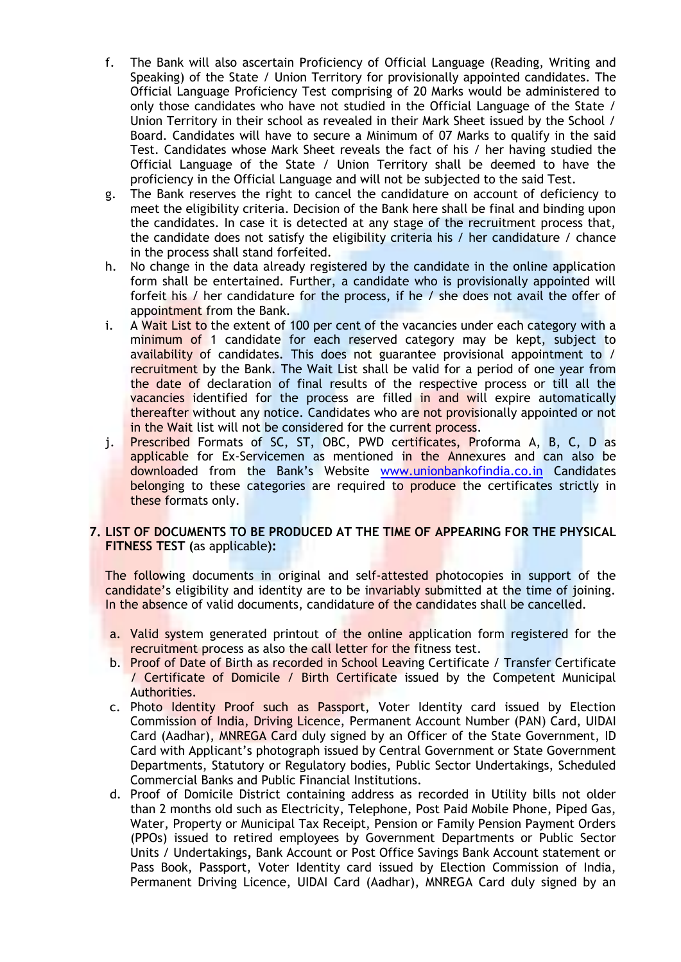- f. The Bank will also ascertain Proficiency of Official Language (Reading, Writing and Speaking) of the State / Union Territory for provisionally appointed candidates. The Official Language Proficiency Test comprising of 20 Marks would be administered to only those candidates who have not studied in the Official Language of the State / Union Territory in their school as revealed in their Mark Sheet issued by the School / Board. Candidates will have to secure a Minimum of 07 Marks to qualify in the said Test. Candidates whose Mark Sheet reveals the fact of his / her having studied the Official Language of the State / Union Territory shall be deemed to have the proficiency in the Official Language and will not be subjected to the said Test.
- g. The Bank reserves the right to cancel the candidature on account of deficiency to meet the eligibility criteria. Decision of the Bank here shall be final and binding upon the candidates. In case it is detected at any stage of the recruitment process that, the candidate does not satisfy the eligibility criteria his / her candidature / chance in the process shall stand forfeited.
- h. No change in the data already registered by the candidate in the online application form shall be entertained. Further, a candidate who is provisionally appointed will forfeit his / her candidature for the process, if he / she does not avail the offer of appointment from the Bank.
- i. A Wait List to the extent of 100 per cent of the vacancies under each category with a minimum of 1 candidate for each reserved category may be kept, subject to availability of candidates. This does not guarantee provisional appointment to / recruitment by the Bank. The Wait List shall be valid for a period of one year from the date of declaration of final results of the respective process or till all the vacancies identified for the process are filled in and will expire automatically thereafter without any notice. Candidates who are not provisionally appointed or not in the Wait list will not be considered for the current process.
- j. Prescribed Formats of SC, ST, OBC, PWD certificates, Proforma A, B, C, D as applicable for Ex-Servicemen as mentioned in the Annexures and can also be downloaded from the Bank's Website [www.unionbankofindia.co.in](http://www.unionbankofindia.co.in/) Candidates belonging to these categories are required to produce the certificates strictly in these formats only.

# **7. LIST OF DOCUMENTS TO BE PRODUCED AT THE TIME OF APPEARING FOR THE PHYSICAL FITNESS TEST (**as applicable**):**

The following documents in original and self-attested photocopies in support of the candidate's eligibility and identity are to be invariably submitted at the time of joining. In the absence of valid documents, candidature of the candidates shall be cancelled.

- a. Valid system generated printout of the online application form registered for the recruitment process as also the call letter for the fitness test.
- b. Proof of Date of Birth as recorded in School Leaving Certificate / Transfer Certificate / Certificate of Domicile / Birth Certificate issued by the Competent Municipal Authorities.
- c. Photo Identity Proof such as Passport, Voter Identity card issued by Election Commission of India, Driving Licence, Permanent Account Number (PAN) Card, UIDAI Card (Aadhar), MNREGA Card duly signed by an Officer of the State Government, ID Card with Applicant's photograph issued by Central Government or State Government Departments, Statutory or Regulatory bodies, Public Sector Undertakings, Scheduled Commercial Banks and Public Financial Institutions.
- d. Proof of Domicile District containing address as recorded in Utility bills not older than 2 months old such as Electricity, Telephone, Post Paid Mobile Phone, Piped Gas, Water, Property or Municipal Tax Receipt, Pension or Family Pension Payment Orders (PPOs) issued to retired employees by Government Departments or Public Sector Units / Undertakings*,* Bank Account or Post Office Savings Bank Account statement or Pass Book, Passport, Voter Identity card issued by Election Commission of India, Permanent Driving Licence, UIDAI Card (Aadhar), MNREGA Card duly signed by an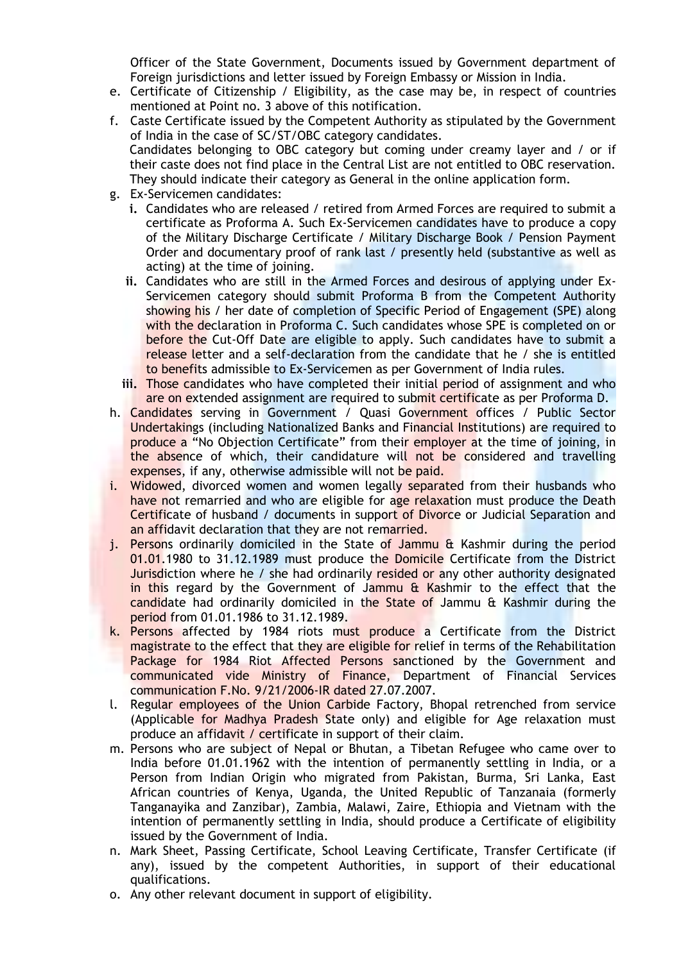Officer of the State Government, Documents issued by Government department of Foreign jurisdictions and letter issued by Foreign Embassy or Mission in India*.*

- e. Certificate of Citizenship / Eligibility, as the case may be, in respect of countries mentioned at Point no. 3 above of this notification.
- f. Caste Certificate issued by the Competent Authority as stipulated by the Government of India in the case of SC/ST/OBC category candidates. Candidates belonging to OBC category but coming under creamy layer and / or if their caste does not find place in the Central List are not entitled to OBC reservation. They should indicate their category as General in the online application form.
- g. Ex-Servicemen candidates:
	- **i.** Candidates who are released / retired from Armed Forces are required to submit a certificate as Proforma A. Such Ex-Servicemen candidates have to produce a copy of the Military Discharge Certificate / Military Discharge Book / Pension Payment Order and documentary proof of rank last / presently held (substantive as well as acting) at the time of joining.
	- **ii.** Candidates who are still in the Armed Forces and desirous of applying under Ex-Servicemen category should submit Proforma B from the Competent Authority showing his / her date of completion of Specific Period of Engagement (SPE) along with the declaration in Proforma C. Such candidates whose SPE is completed on or before the Cut-Off Date are eligible to apply. Such candidates have to submit a release letter and a self-declaration from the candidate that he  $\ell$  she is entitled to benefits admissible to Ex-Servicemen as per Government of India rules.
	- **iii.** Those candidates who have completed their initial period of assignment and who are on extended assignment are required to submit certificate as per Proforma D.
- h. Candidates serving in Government / Quasi Government offices / Public Sector Undertakings (including Nationalized Banks and Financial Institutions) are required to produce a "No Objection Certificate" from their employer at the time of joining, in the absence of which, their candidature will not be considered and travelling expenses, if any, otherwise admissible will not be paid.
- i. Widowed, divorced women and women legally separated from their husbands who have not remarried and who are eligible for age relaxation must produce the Death Certificate of husband / documents in support of Divorce or Judicial Separation and an affidavit declaration that they are not remarried.
- j. Persons ordinarily domiciled in the State of Jammu & Kashmir during the period 01.01.1980 to 31.12.1989 must produce the Domicile Certificate from the District Jurisdiction where he / she had ordinarily resided or any other authority designated in this regard by the Government of Jammu & Kashmir to the effect that the candidate had ordinarily domiciled in the State of Jammu & Kashmir during the period from 01.01.1986 to 31.12.1989.
- k. Persons affected by 1984 riots must produce a Certificate from the District magistrate to the effect that they are eligible for relief in terms of the Rehabilitation Package for 1984 Riot Affected Persons sanctioned by the Government and communicated vide Ministry of Finance, Department of Financial Services communication F.No. 9/21/2006-IR dated 27.07.2007.
- l. Regular employees of the Union Carbide Factory, Bhopal retrenched from service (Applicable for Madhya Pradesh State only) and eligible for Age relaxation must produce an affidavit / certificate in support of their claim.
- m. Persons who are subject of Nepal or Bhutan, a Tibetan Refugee who came over to India before 01.01.1962 with the intention of permanently settling in India, or a Person from Indian Origin who migrated from Pakistan, Burma, Sri Lanka, East African countries of Kenya, Uganda, the United Republic of Tanzanaia (formerly Tanganayika and Zanzibar), Zambia, Malawi, Zaire, Ethiopia and Vietnam with the intention of permanently settling in India, should produce a Certificate of eligibility issued by the Government of India.
- n. Mark Sheet, Passing Certificate, School Leaving Certificate, Transfer Certificate (if any), issued by the competent Authorities, in support of their educational qualifications.
- o. Any other relevant document in support of eligibility.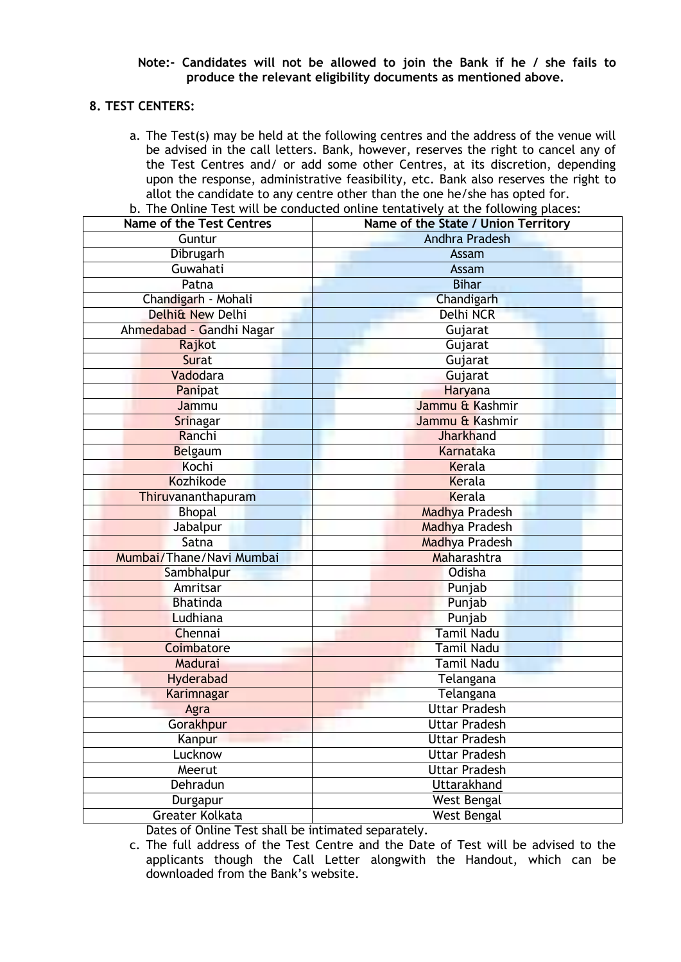#### **Note:- Candidates will not be allowed to join the Bank if he / she fails to produce the relevant eligibility documents as mentioned above.**

# **8. TEST CENTERS:**

a. The Test(s) may be held at the following centres and the address of the venue will be advised in the call letters. Bank, however, reserves the right to cancel any of the Test Centres and/ or add some other Centres, at its discretion, depending upon the response, administrative feasibility, etc. Bank also reserves the right to allot the candidate to any centre other than the one he/she has opted for.

| <b>Name of the Test Centres</b> | Name of the State / Union Territory |
|---------------------------------|-------------------------------------|
| Guntur                          | <b>Andhra Pradesh</b>               |
| Dibrugarh                       | Assam                               |
| Guwahati                        | Assam                               |
| Patna                           | <b>Bihar</b>                        |
| Chandigarh - Mohali             | Chandigarh                          |
| Delhi& New Delhi                | Delhi NCR                           |
| Ahmedabad - Gandhi Nagar        | Gujarat                             |
| Rajkot                          | Gujarat                             |
| Surat                           | Gujarat                             |
| Vadodara                        | Gujarat                             |
| Panipat                         | Haryana                             |
| Jammu                           | Jammu & Kashmir                     |
| Srinagar                        | Jammu & Kashmir                     |
| Ranchi                          | <b>Jharkhand</b>                    |
| Belgaum                         | Karnataka                           |
| Kochi                           | Kerala                              |
| Kozhikode                       | Kerala                              |
| Thiruvananthapuram              | Kerala                              |
| <b>Bhopal</b>                   | <b>Madhya Pradesh</b>               |
| Jabalpur                        | <b>Madhya Pradesh</b>               |
| Satna                           | Madhya Pradesh                      |
| Mumbai/Thane/Navi Mumbai        | Maharashtra                         |
| Sambhalpur                      | Odisha                              |
| Amritsar                        | Punjab                              |
| <b>Bhatinda</b>                 | Punjab                              |
| Ludhiana                        | Punjab                              |
| Chennai                         | <b>Tamil Nadu</b>                   |
| Coimbatore                      | <b>Tamil Nadu</b>                   |
| Madurai                         | <b>Tamil Nadu</b>                   |
| Hyderabad                       | Telangana                           |
| Karimnagar                      | Telangana                           |
| Agra                            | <b>Uttar Pradesh</b>                |
| Gorakhpur                       | <b>Uttar Pradesh</b>                |
| Kanpur                          | <b>Uttar Pradesh</b>                |
| Lucknow                         | <b>Uttar Pradesh</b>                |
| Meerut                          | <b>Uttar Pradesh</b>                |
| Dehradun                        | Uttarakhand                         |
| Durgapur                        | <b>West Bengal</b>                  |
| Greater Kolkata                 | West Bengal                         |

b. The Online Test will be conducted online tentatively at the following places:

Dates of Online Test shall be intimated separately.

c. The full address of the Test Centre and the Date of Test will be advised to the applicants though the Call Letter alongwith the Handout, which can be downloaded from the Bank's website.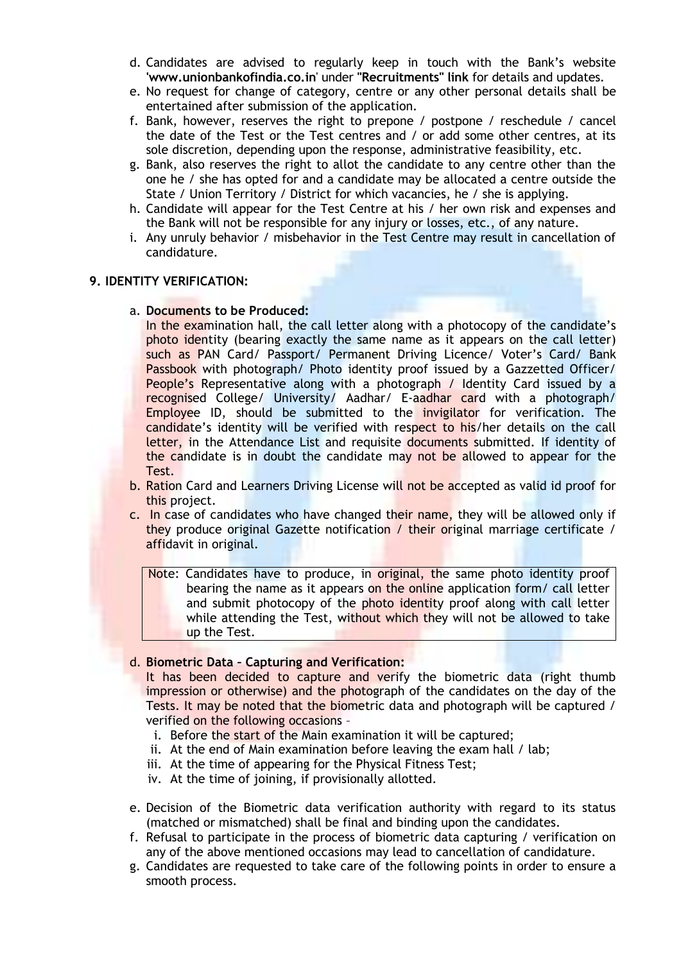- d. Candidates are advised to regularly keep in touch with the Bank's website **'www.unionbankofindia.co.in**' under **"Recruitments" link** for details and updates.
- e. No request for change of category, centre or any other personal details shall be entertained after submission of the application.
- f. Bank, however, reserves the right to prepone / postpone / reschedule / cancel the date of the Test or the Test centres and / or add some other centres, at its sole discretion, depending upon the response, administrative feasibility, etc.
- g. Bank, also reserves the right to allot the candidate to any centre other than the one he / she has opted for and a candidate may be allocated a centre outside the State / Union Territory / District for which vacancies, he / she is applying.
- h. Candidate will appear for the Test Centre at his / her own risk and expenses and the Bank will not be responsible for any injury or losses, etc., of any nature.
- i. Any unruly behavior / misbehavior in the Test Centre may result in cancellation of candidature.

# **9. IDENTITY VERIFICATION:**

#### a. **Documents to be Produced:**

In the examination hall, the call letter along with a photocopy of the candidate's photo identity (bearing exactly the same name as it appears on the call letter) such as PAN Card/ Passport/ Permanent Driving Licence/ Voter's Card/ Bank Passbook with photograph/ Photo identity proof issued by a Gazzetted Officer/ People's Representative along with a photograph / Identity Card issued by a recognised College/ University/ Aadhar/ E-aadhar card with a photograph/ Employee ID, should be submitted to the invigilator for verification. The candidate's identity will be verified with respect to his/her details on the call letter, in the Attendance List and requisite documents submitted. If identity of the candidate is in doubt the candidate may not be allowed to appear for the Test.

- b. Ration Card and Learners Driving License will not be accepted as valid id proof for this project.
- c. In case of candidates who have changed their name, they will be allowed only if they produce original Gazette notification / their original marriage certificate / affidavit in original.

Note: Candidates have to produce, in original, the same photo identity proof bearing the name as it appears on the online application form/ call letter and submit photocopy of the photo identity proof along with call letter while attending the Test, without which they will not be allowed to take up the Test.

#### d. **Biometric Data – Capturing and Verification:**

It has been decided to capture and verify the biometric data (right thumb impression or otherwise) and the photograph of the candidates on the day of the Tests. It may be noted that the biometric data and photograph will be captured / verified on the following occasions –

- i. Before the start of the Main examination it will be captured;
- ii. At the end of Main examination before leaving the exam hall / lab;
- iii. At the time of appearing for the Physical Fitness Test;
- iv. At the time of joining, if provisionally allotted.
- e. Decision of the Biometric data verification authority with regard to its status (matched or mismatched) shall be final and binding upon the candidates.
- f. Refusal to participate in the process of biometric data capturing / verification on any of the above mentioned occasions may lead to cancellation of candidature.
- g. Candidates are requested to take care of the following points in order to ensure a smooth process.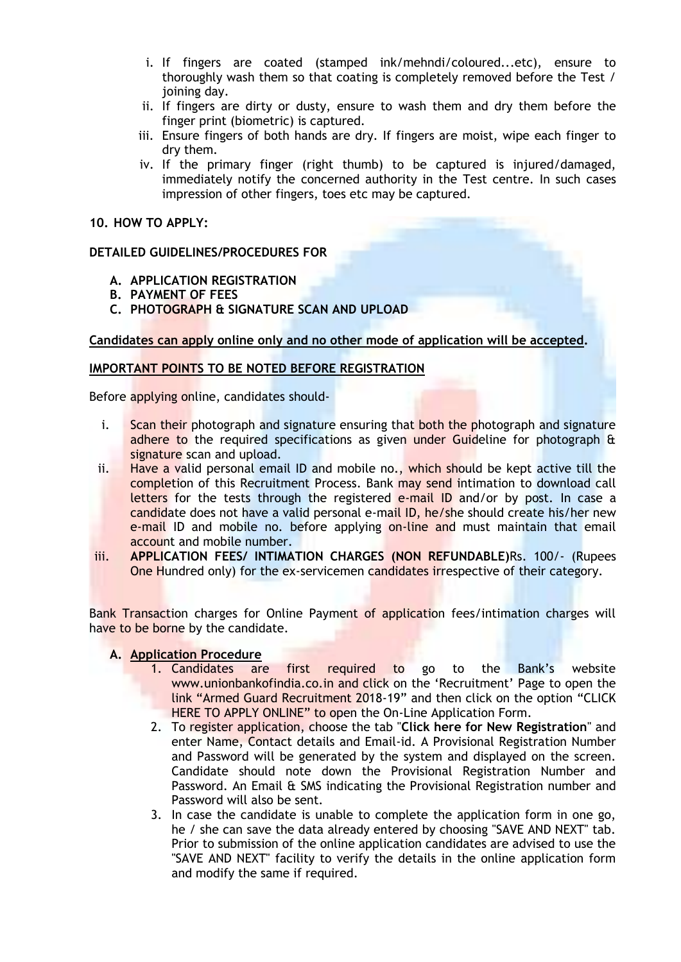- i. If fingers are coated (stamped ink/mehndi/coloured...etc), ensure to thoroughly wash them so that coating is completely removed before the Test / joining day.
- ii. If fingers are dirty or dusty, ensure to wash them and dry them before the finger print (biometric) is captured.
- iii. Ensure fingers of both hands are dry. If fingers are moist, wipe each finger to dry them.
- iv. If the primary finger (right thumb) to be captured is injured/damaged, immediately notify the concerned authority in the Test centre. In such cases impression of other fingers, toes etc may be captured.

### **10. HOW TO APPLY:**

# **DETAILED GUIDELINES/PROCEDURES FOR**

- **A. APPLICATION REGISTRATION**
- **B. PAYMENT OF FEES**
- **C. PHOTOGRAPH & SIGNATURE SCAN AND UPLOAD**

# **Candidates can apply online only and no other mode of application will be accepted.**

# **IMPORTANT POINTS TO BE NOTED BEFORE REGISTRATION**

Before applying online, candidates should-

- i. Scan their photograph and signature ensuring that both the photograph and signature adhere to the required specifications as given under Guideline for photograph & signature scan and upload.
- ii. Have a valid personal email ID and mobile no., which should be kept active till the completion of this Recruitment Process. Bank may send intimation to download call letters for the tests through the registered e-mail ID and/or by post. In case a candidate does not have a valid personal e-mail ID, he/she should create his/her new e-mail ID and mobile no. before applying on-line and must maintain that email account and mobile number.
- iii. **APPLICATION FEES/ INTIMATION CHARGES (NON REFUNDABLE)**Rs. 100/- (Rupees One Hundred only) for the ex-servicemen candidates irrespective of their category.

Bank Transaction charges for Online Payment of application fees/intimation charges will have to be borne by the candidate.

# **A. Application Procedure**

- 1. Candidates are first required to go to the Bank's website www.unionbankofindia.co.in and click on the 'Recruitment' Page to open the link "Armed Guard Recruitment 2018-19" and then click on the option "CLICK HERE TO APPLY ONLINE" to open the On-Line Application Form.
- 2. To register application, choose the tab "**Click here for New Registration**" and enter Name, Contact details and Email-id. A Provisional Registration Number and Password will be generated by the system and displayed on the screen. Candidate should note down the Provisional Registration Number and Password. An Email & SMS indicating the Provisional Registration number and Password will also be sent.
- 3. In case the candidate is unable to complete the application form in one go, he / she can save the data already entered by choosing "SAVE AND NEXT" tab. Prior to submission of the online application candidates are advised to use the "SAVE AND NEXT" facility to verify the details in the online application form and modify the same if required.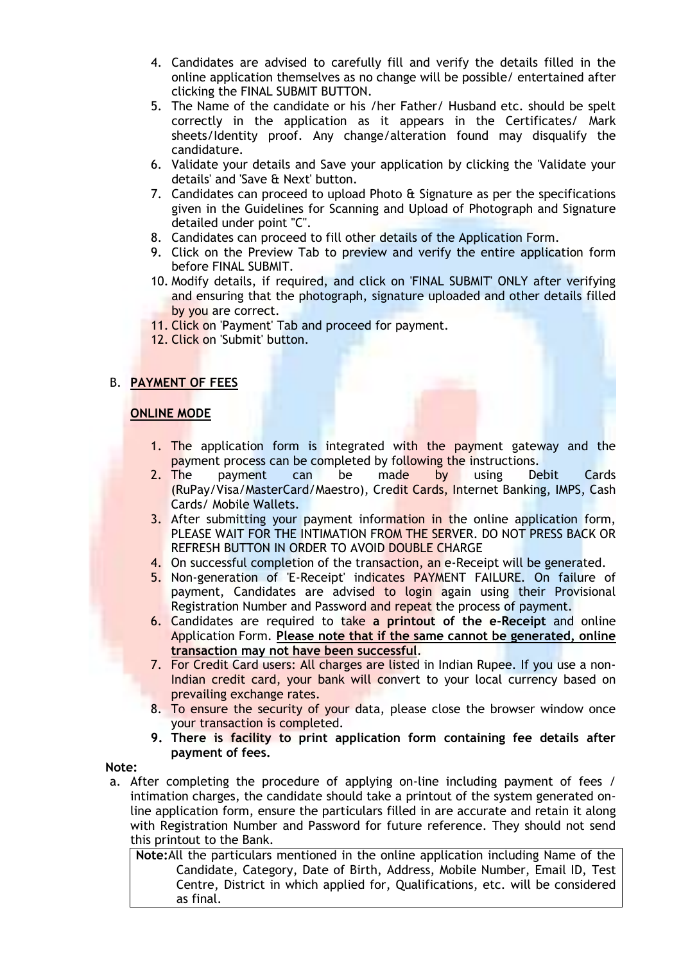- 4. Candidates are advised to carefully fill and verify the details filled in the online application themselves as no change will be possible/ entertained after clicking the FINAL SUBMIT BUTTON.
- 5. The Name of the candidate or his /her Father/ Husband etc. should be spelt correctly in the application as it appears in the Certificates/ Mark sheets/Identity proof. Any change/alteration found may disqualify the candidature.
- 6. Validate your details and Save your application by clicking the 'Validate your details' and 'Save & Next' button.
- 7. Candidates can proceed to upload Photo & Signature as per the specifications given in the Guidelines for Scanning and Upload of Photograph and Signature detailed under point "C".
- 8. Candidates can proceed to fill other details of the Application Form.
- 9. Click on the Preview Tab to preview and verify the entire application form before FINAL SUBMIT.
- 10. Modify details, if required, and click on 'FINAL SUBMIT' ONLY after verifying and ensuring that the photograph, signature uploaded and other details filled by you are correct.
- 11. Click on 'Payment' Tab and proceed for payment.
- 12. Click on 'Submit' button.

#### B. **PAYMENT OF FEES**

#### **ONLINE MODE**

- 1. The application form is integrated with the payment gateway and the payment process can be completed by following the instructions.
- 2. The payment can be made by using Debit Cards (RuPay/Visa/MasterCard/Maestro), Credit Cards, Internet Banking, IMPS, Cash Cards/ Mobile Wallets.
- 3. After submitting your payment information in the online application form, PLEASE WAIT FOR THE INTIMATION FROM THE SERVER. DO NOT PRESS BACK OR REFRESH BUTTON IN ORDER TO AVOID DOUBLE CHARGE
- 4. On successful completion of the transaction, an e-Receipt will be generated.
- 5. Non-generation of 'E-Receipt' indicates PAYMENT FAILURE. On failure of payment, Candidates are advised to login again using their Provisional Registration Number and Password and repeat the process of payment.
- 6. Candidates are required to take **a printout of the e-Receipt** and online Application Form. **Please note that if the same cannot be generated, online transaction may not have been successful**.
- 7. For Credit Card users: All charges are listed in Indian Rupee. If you use a non-Indian credit card, your bank will convert to your local currency based on prevailing exchange rates.
- 8. To ensure the security of your data, please close the browser window once your transaction is completed.
- **9. There is facility to print application form containing fee details after payment of fees.**

#### **Note:**

a. After completing the procedure of applying on-line including payment of fees / intimation charges, the candidate should take a printout of the system generated online application form, ensure the particulars filled in are accurate and retain it along with Registration Number and Password for future reference. They should not send this printout to the Bank.

**Note:**All the particulars mentioned in the online application including Name of the Candidate, Category, Date of Birth, Address, Mobile Number, Email ID, Test Centre, District in which applied for, Qualifications, etc. will be considered as final.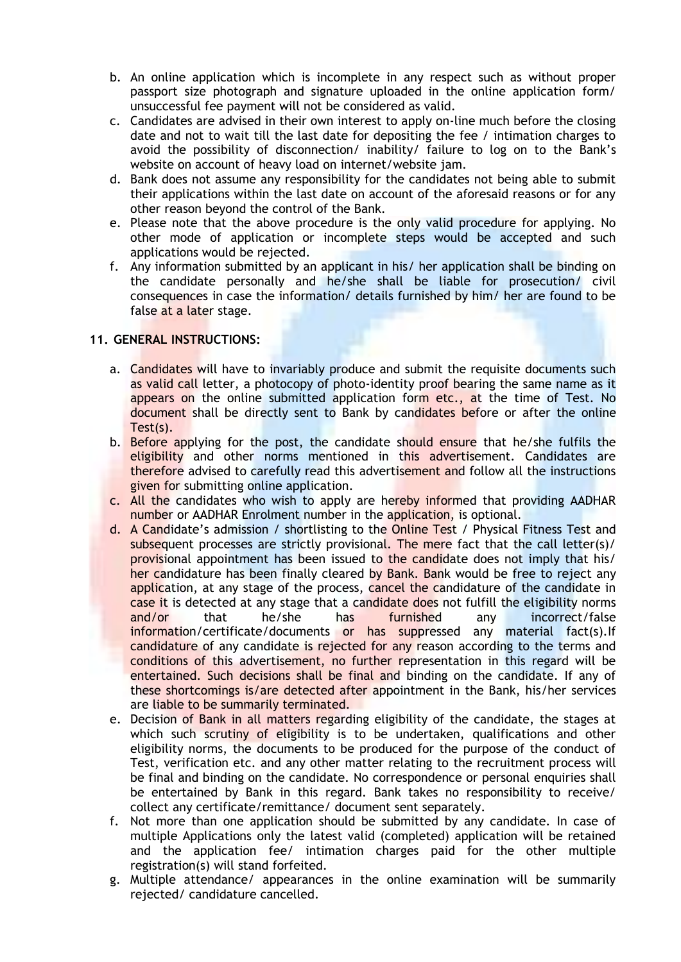- b. An online application which is incomplete in any respect such as without proper passport size photograph and signature uploaded in the online application form/ unsuccessful fee payment will not be considered as valid.
- c. Candidates are advised in their own interest to apply on-line much before the closing date and not to wait till the last date for depositing the fee / intimation charges to avoid the possibility of disconnection/ inability/ failure to log on to the Bank's website on account of heavy load on internet/website jam.
- d. Bank does not assume any responsibility for the candidates not being able to submit their applications within the last date on account of the aforesaid reasons or for any other reason beyond the control of the Bank.
- e. Please note that the above procedure is the only valid procedure for applying. No other mode of application or incomplete steps would be accepted and such applications would be rejected.
- f. Any information submitted by an applicant in his/ her application shall be binding on the candidate personally and he/she shall be liable for prosecution/ civil consequences in case the information/ details furnished by him/ her are found to be false at a later stage.

# **11. GENERAL INSTRUCTIONS:**

- a. Candidates will have to invariably produce and submit the requisite documents such as valid call letter, a photocopy of photo-identity proof bearing the same name as it appears on the online submitted application form etc., at the time of Test. No document shall be directly sent to Bank by candidates before or after the online Test(s).
- b. Before applying for the post, the candidate should ensure that he/she fulfils the eligibility and other norms mentioned in this advertisement. Candidates are therefore advised to carefully read this advertisement and follow all the instructions given for submitting online application.
- c. All the candidates who wish to apply are hereby informed that providing AADHAR number or AADHAR Enrolment number in the application, is optional.
- d. A Candidate's admission / shortlisting to the Online Test / Physical Fitness Test and subsequent processes are strictly provisional. The mere fact that the call letter(s)/ provisional appointment has been issued to the candidate does not imply that his/ her candidature has been finally cleared by Bank. Bank would be free to reject any application, at any stage of the process, cancel the candidature of the candidate in case it is detected at any stage that a candidate does not fulfill the eligibility norms and/or that he/she has furnished any incorrect/false information/certificate/documents or has suppressed any material fact(s).If candidature of any candidate is rejected for any reason according to the terms and conditions of this advertisement, no further representation in this regard will be entertained. Such decisions shall be final and binding on the candidate. If any of these shortcomings is/are detected after appointment in the Bank, his/her services are liable to be summarily terminated.
- e. Decision of Bank in all matters regarding eligibility of the candidate, the stages at which such scrutiny of eligibility is to be undertaken, qualifications and other eligibility norms, the documents to be produced for the purpose of the conduct of Test, verification etc. and any other matter relating to the recruitment process will be final and binding on the candidate. No correspondence or personal enquiries shall be entertained by Bank in this regard. Bank takes no responsibility to receive/ collect any certificate/remittance/ document sent separately.
- f. Not more than one application should be submitted by any candidate. In case of multiple Applications only the latest valid (completed) application will be retained and the application fee/ intimation charges paid for the other multiple registration(s) will stand forfeited.
- g. Multiple attendance/ appearances in the online examination will be summarily rejected/ candidature cancelled.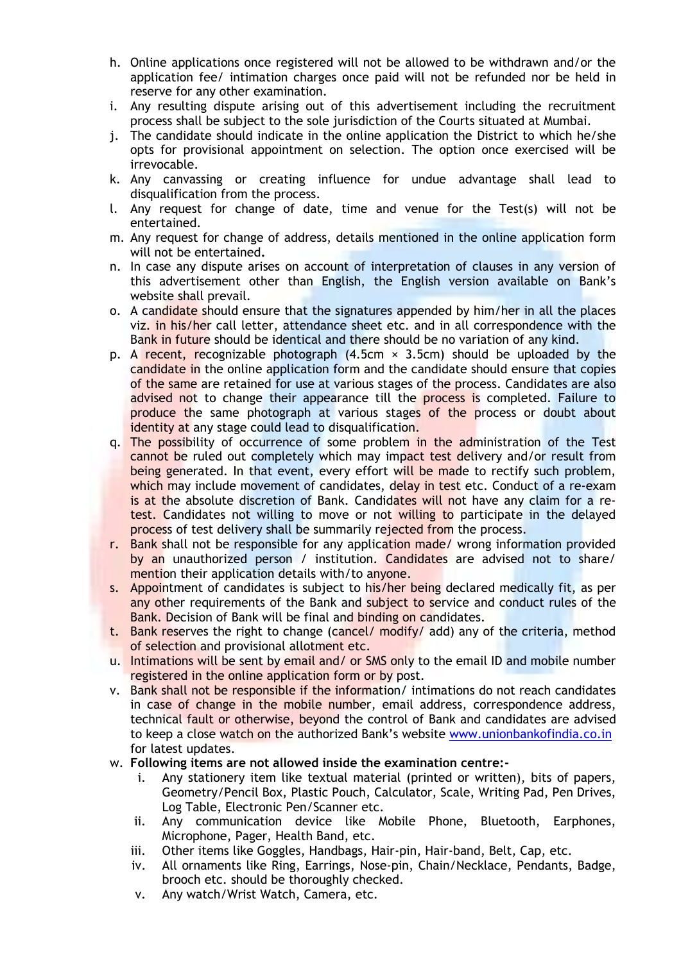- h. Online applications once registered will not be allowed to be withdrawn and/or the application fee/ intimation charges once paid will not be refunded nor be held in reserve for any other examination.
- i. Any resulting dispute arising out of this advertisement including the recruitment process shall be subject to the sole jurisdiction of the Courts situated at Mumbai.
- j. The candidate should indicate in the online application the District to which he/she opts for provisional appointment on selection. The option once exercised will be irrevocable.
- k. Any canvassing or creating influence for undue advantage shall lead to disqualification from the process.
- l. Any request for change of date, time and venue for the Test(s) will not be entertained.
- m. Any request for change of address, details mentioned in the online application form will not be entertained**.**
- n. In case any dispute arises on account of interpretation of clauses in any version of this advertisement other than English, the English version available on Bank's website shall prevail.
- o. A candidate should ensure that the signatures appended by him/her in all the places viz. in his/her call letter, attendance sheet etc. and in all correspondence with the Bank in future should be identical and there should be no variation of any kind.
- p. A recent, recognizable photograph  $(4.5cm \times 3.5cm)$  should be uploaded by the candidate in the online application form and the candidate should ensure that copies of the same are retained for use at various stages of the process. Candidates are also advised not to change their appearance till the process is completed. Failure to produce the same photograph at various stages of the process or doubt about identity at any stage could lead to disqualification.
- q. The possibility of occurrence of some problem in the administration of the Test cannot be ruled out completely which may impact test delivery and/or result from being generated. In that event, every effort will be made to rectify such problem, which may include movement of candidates, delay in test etc. Conduct of a re-exam is at the absolute discretion of Bank. Candidates will not have any claim for a retest. Candidates not willing to move or not willing to participate in the delayed process of test delivery shall be summarily rejected from the process.
- r. Bank shall not be responsible for any application made/ wrong information provided by an unauthorized person / institution. Candidates are advised not to share/ mention their application details with/to anyone.
- s. Appointment of candidates is subject to his/her being declared medically fit, as per any other requirements of the Bank and subject to service and conduct rules of the Bank. Decision of Bank will be final and binding on candidates.
- t. Bank reserves the right to change (cancel/  $modify/$  add) any of the criteria, method of selection and provisional allotment etc.
- u. Intimations will be sent by email and/ or SMS only to the email ID and mobile number registered in the online application form or by post.
- v. Bank shall not be responsible if the information/ intimations do not reach candidates in case of change in the mobile number, email address, correspondence address, technical fault or otherwise, beyond the control of Bank and candidates are advised to keep a close watch on the authorized Bank's website [www.unionbankofindia.co.in](http://www.unionbankofindia.co.in/) for latest updates.
- w. **Following items are not allowed inside the examination centre:**
	- i. Any stationery item like textual material (printed or written), bits of papers, Geometry/Pencil Box, Plastic Pouch, Calculator, Scale, Writing Pad, Pen Drives, Log Table, Electronic Pen/Scanner etc.
	- ii. Any communication device like Mobile Phone, Bluetooth, Earphones, Microphone, Pager, Health Band, etc.
	- iii. Other items like Goggles, Handbags, Hair-pin, Hair-band, Belt, Cap, etc.
	- iv. All ornaments like Ring, Earrings, Nose-pin, Chain/Necklace, Pendants, Badge, brooch etc. should be thoroughly checked.
	- v. Any watch/Wrist Watch, Camera, etc.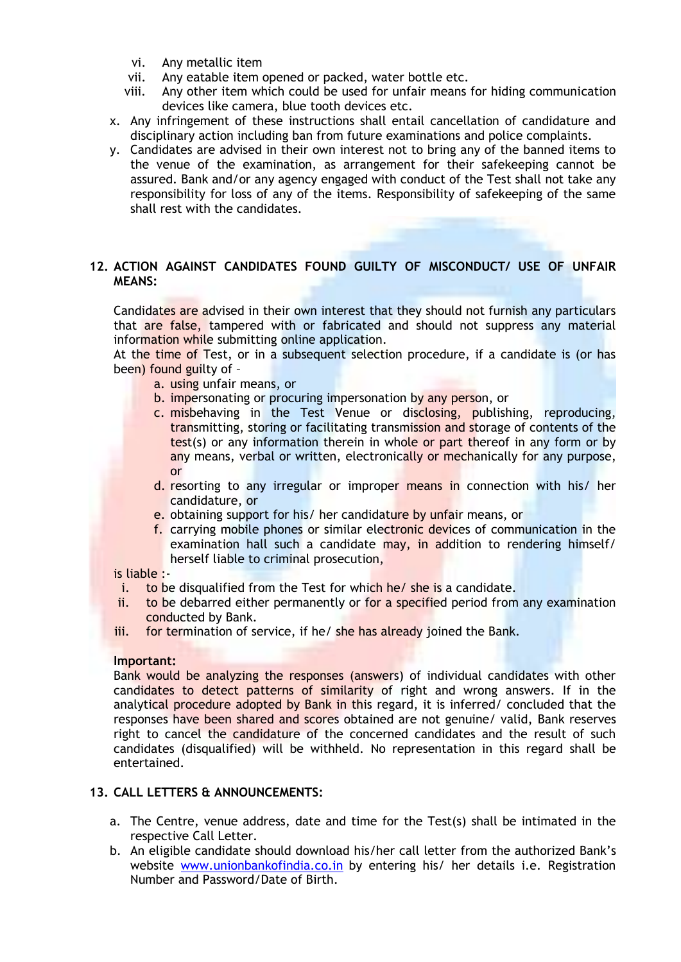- vi. Any metallic item
- vii. Any eatable item opened or packed, water bottle etc.
- viii. Any other item which could be used for unfair means for hiding communication devices like camera, blue tooth devices etc.
- x. Any infringement of these instructions shall entail cancellation of candidature and disciplinary action including ban from future examinations and police complaints.
- y. Candidates are advised in their own interest not to bring any of the banned items to the venue of the examination, as arrangement for their safekeeping cannot be assured. Bank and/or any agency engaged with conduct of the Test shall not take any responsibility for loss of any of the items. Responsibility of safekeeping of the same shall rest with the candidates.

# **12. ACTION AGAINST CANDIDATES FOUND GUILTY OF MISCONDUCT/ USE OF UNFAIR MEANS:**

Candidates are advised in their own interest that they should not furnish any particulars that are false, tampered with or fabricated and should not suppress any material information while submitting online application.

At the time of Test, or in a subsequent selection procedure, if a candidate is (or has been) found guilty of –

- a. using unfair means, or
- b. impersonating or procuring impersonation by any person, or
- c. misbehaving in the Test Venue or disclosing, publishing, reproducing, transmitting, storing or facilitating transmission and storage of contents of the test(s) or any information therein in whole or part thereof in any form or by any means, verbal or written, electronically or mechanically for any purpose, or
- d. resorting to any irregular or improper means in connection with his/ her candidature, or
- e. obtaining support for his/ her candidature by unfair means, or
- f. carrying mobile phones or similar electronic devices of communication in the examination hall such a candidate may, in addition to rendering himself/ herself liable to criminal prosecution,

#### is liable :-

- i. to be disqualified from the Test for which he/ she is a candidate.
- ii. to be debarred either permanently or for a specified period from any examination conducted by Bank.
- iii. for termination of service, if he/ she has already joined the Bank.

#### **Important:**

Bank would be analyzing the responses (answers) of individual candidates with other candidates to detect patterns of similarity of right and wrong answers. If in the analytical procedure adopted by Bank in this regard, it is inferred/ concluded that the responses have been shared and scores obtained are not genuine/ valid, Bank reserves right to cancel the candidature of the concerned candidates and the result of such candidates (disqualified) will be withheld. No representation in this regard shall be entertained.

#### **13. CALL LETTERS & ANNOUNCEMENTS:**

- a. The Centre, venue address, date and time for the Test(s) shall be intimated in the respective Call Letter.
- b. An eligible candidate should download his/her call letter from the authorized Bank's website [www.unionbankofindia.co.in](http://www.unionbankofindia.co.in/) by entering his/ her details i.e. Registration Number and Password/Date of Birth.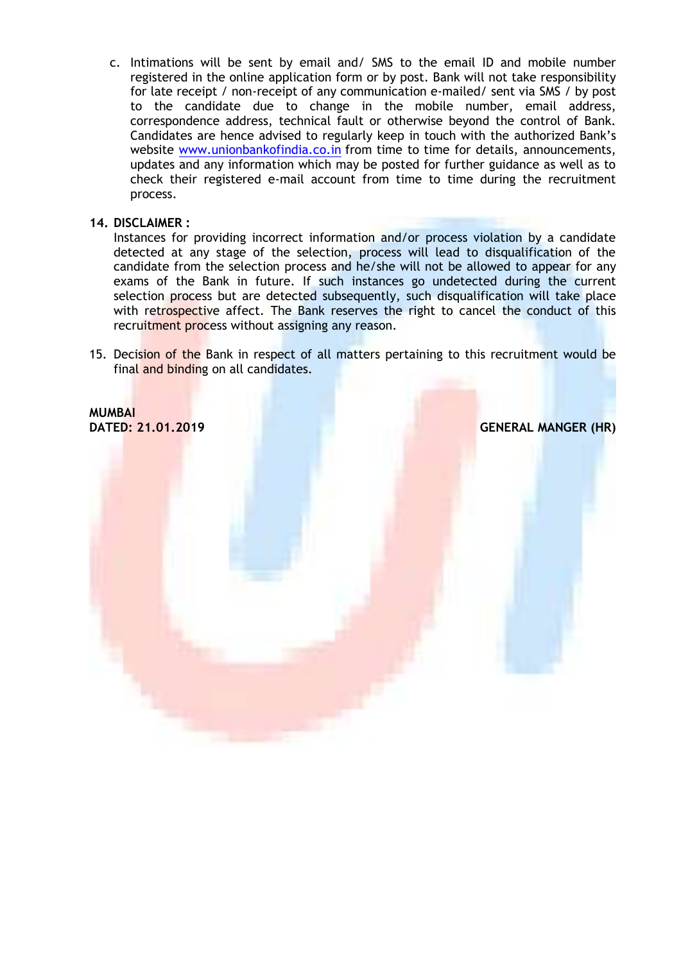c. Intimations will be sent by email and/ SMS to the email ID and mobile number registered in the online application form or by post. Bank will not take responsibility for late receipt / non-receipt of any communication e-mailed/ sent via SMS / by post to the candidate due to change in the mobile number, email address, correspondence address, technical fault or otherwise beyond the control of Bank. Candidates are hence advised to regularly keep in touch with the authorized Bank's website [www.unionbankofindia.co.in](http://www.unionbankofindia.co.in/) from time to time for details, announcements, updates and any information which may be posted for further guidance as well as to check their registered e-mail account from time to time during the recruitment process.

### **14. DISCLAIMER :**

Instances for providing incorrect information and/or process violation by a candidate detected at any stage of the selection, process will lead to disqualification of the candidate from the selection process and he/she will not be allowed to appear for any exams of the Bank in future. If such instances go undetected during the current selection process but are detected subsequently, such disqualification will take place with retrospective affect. The Bank reserves the right to cancel the conduct of this recruitment process without assigning any reason.

15. Decision of the Bank in respect of all matters pertaining to this recruitment would be final and binding on all candidates.

**MUMBAI**

**DATED: 21.01.2019 GENERAL MANGER (HR)**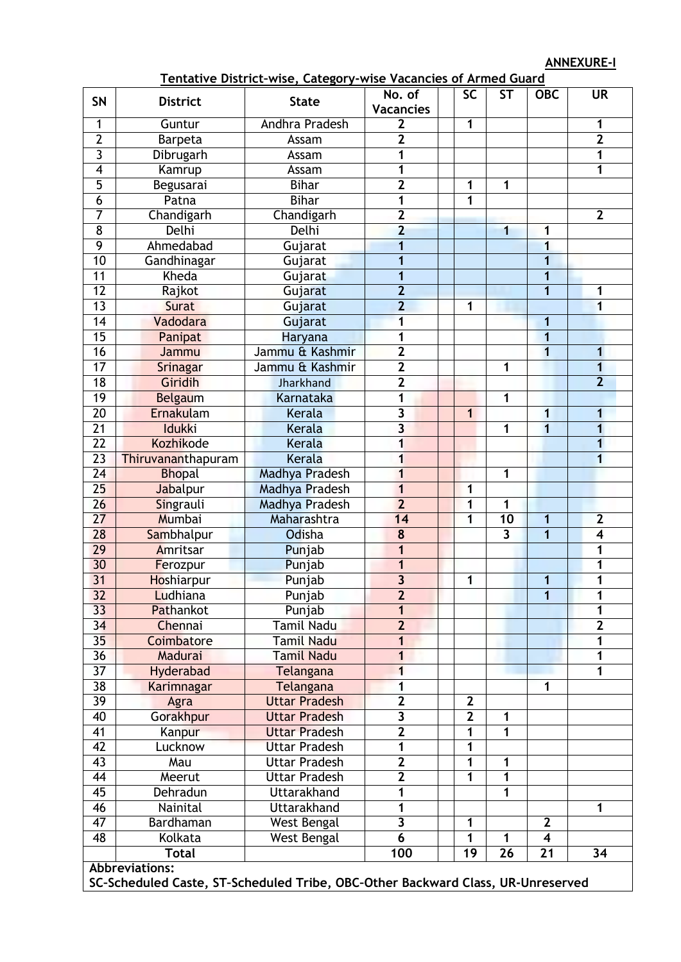**ANNEXURE-I**

|                         |                                                                                 | <u>Tentacive District-Wise, Category-Wise Vacancies of Armed Odard</u> |                                  |  |                 |                         |                         |                         |
|-------------------------|---------------------------------------------------------------------------------|------------------------------------------------------------------------|----------------------------------|--|-----------------|-------------------------|-------------------------|-------------------------|
| <b>SN</b>               | <b>District</b>                                                                 | <b>State</b>                                                           | No. of                           |  | $\overline{SC}$ | ST                      | <b>OBC</b>              | <b>UR</b>               |
|                         |                                                                                 | <b>Vacancies</b>                                                       |                                  |  |                 |                         |                         |                         |
| 1                       | Guntur                                                                          | <b>Andhra Pradesh</b>                                                  | $\overline{2}$<br>$\overline{2}$ |  | 1               |                         |                         | 1                       |
| $\overline{2}$          | Barpeta                                                                         | Assam                                                                  |                                  |  |                 |                         |                         | $\overline{2}$          |
| $\overline{3}$          | Dibrugarh                                                                       | Assam                                                                  | 1                                |  |                 |                         |                         | 1                       |
| $\overline{\mathbf{4}}$ | Kamrup                                                                          | Assam                                                                  | 1                                |  |                 |                         |                         | 1                       |
| $\overline{5}$          | Begusarai                                                                       | <b>Bihar</b>                                                           | $\overline{2}$                   |  | 1               | 1                       |                         |                         |
| $\overline{6}$          | Patna                                                                           | <b>Bihar</b>                                                           | 1                                |  | 1               |                         |                         |                         |
|                         | 7<br>Chandigarh<br>Chandigarh                                                   |                                                                        | $\overline{2}$                   |  |                 |                         |                         | $\overline{2}$          |
| $\overline{8}$          | Delhi                                                                           | Delhi                                                                  | $\overline{2}$                   |  |                 | 1                       | 1                       |                         |
| 9                       | Ahmedabad                                                                       | Gujarat                                                                | 1                                |  |                 |                         |                         |                         |
| 10                      | Gandhinagar                                                                     | Gujarat                                                                | 1                                |  |                 |                         |                         |                         |
| $\overline{11}$         | Kheda                                                                           | Gujarat                                                                | 1                                |  |                 |                         | 1                       |                         |
| $\overline{12}$         | Rajkot                                                                          | Gujarat                                                                | $\overline{2}$                   |  |                 |                         | 1                       | 1                       |
| $\overline{13}$         | Surat                                                                           | Gujarat                                                                | $\overline{2}$                   |  | 1               |                         |                         | 1                       |
| 14                      | Vadodara                                                                        | Gujarat                                                                | 1                                |  |                 |                         | 1                       |                         |
| $\overline{15}$         | Panipat                                                                         | Haryana                                                                | 1                                |  |                 |                         | 1                       |                         |
| 16                      | Jammu                                                                           | Jammu & Kashmir                                                        | $\overline{2}$                   |  |                 |                         | 1                       | $\mathbf{1}$            |
| $\overline{17}$         | Srinagar                                                                        | Jammu & Kashmir                                                        | $\overline{2}$                   |  |                 | 1                       |                         | 1                       |
| 18                      | Giridih                                                                         | Jharkhand                                                              | $\overline{2}$                   |  |                 |                         |                         | $\overline{2}$          |
| 19                      | Belgaum                                                                         | Karnataka                                                              | 1                                |  |                 | 1                       |                         |                         |
| $\overline{20}$         | Ernakulam                                                                       | Kerala                                                                 | $\overline{\mathbf{3}}$          |  | $\mathbf{1}$    |                         | 1                       | 1                       |
| $\overline{21}$         | <b>Idukki</b>                                                                   | Kerala                                                                 | $\overline{\mathbf{3}}$          |  |                 | 1                       | 1                       | $\overline{\mathbf{1}}$ |
| $\overline{22}$         | <b>Kozhikode</b>                                                                | Kerala                                                                 |                                  |  |                 |                         |                         | $\overline{\mathbf{1}}$ |
| $\overline{23}$         | Thiruvananthapuram                                                              | Kerala                                                                 | 1<br>1                           |  |                 |                         |                         | $\overline{1}$          |
| $\overline{24}$         | <b>Bhopal</b>                                                                   | Madhya Pradesh                                                         | 1                                |  |                 | $\mathbf{1}$            |                         |                         |
| 25                      | Jabalpur                                                                        | <b>Madhya Pradesh</b>                                                  | $\overline{\mathbf{1}}$          |  | 1               |                         |                         |                         |
| 26                      | Singrauli                                                                       | Madhya Pradesh                                                         | $\overline{2}$                   |  | 1               | $\mathbf{1}$            |                         |                         |
| $\overline{27}$         | Mumbai                                                                          | Maharashtra                                                            | 14                               |  | 1               | 10                      | 1                       | $\overline{\mathbf{2}}$ |
| 28                      | Sambhalpur                                                                      | Odisha                                                                 | $\overline{\mathbf{8}}$          |  |                 | $\overline{\mathbf{3}}$ | 1                       | $\overline{4}$          |
| 29                      | Amritsar                                                                        | Punjab                                                                 | 1                                |  |                 |                         |                         | 1                       |
| 30                      | Ferozpur                                                                        | Punjab                                                                 | 1                                |  |                 |                         |                         | 1                       |
| 31                      | Hoshiarpur                                                                      |                                                                        | 3                                |  | 1               |                         | 1                       | 1                       |
| 32                      | Punjab<br>Ludhiana                                                              |                                                                        | $\overline{2}$                   |  |                 |                         |                         |                         |
|                         |                                                                                 | Punjab                                                                 |                                  |  |                 |                         | 1                       | Ί                       |
| 33<br>34                | Pathankot<br>Chennai                                                            | Punjab<br>Tamil Nadu                                                   | 1<br>$\overline{2}$              |  |                 |                         |                         | 1<br>$\overline{2}$     |
| 35                      |                                                                                 | Tamil Nadu                                                             |                                  |  |                 |                         |                         |                         |
|                         | Coimbatore                                                                      |                                                                        | 1                                |  |                 |                         |                         | 1                       |
| 36                      | Madurai                                                                         | Tamil Nadu                                                             | 1                                |  |                 |                         |                         | 1                       |
| $\overline{37}$         | Hyderabad                                                                       | Telangana                                                              | 1                                |  |                 |                         |                         | 1                       |
| 38                      | Karimnagar                                                                      | Telangana                                                              | 1                                |  |                 |                         | 1                       |                         |
| $\overline{39}$         | Agra                                                                            | <b>Uttar Pradesh</b>                                                   | $\overline{2}$                   |  | $\mathbf{2}$    |                         |                         |                         |
| $\overline{40}$         | Gorakhpur                                                                       | <b>Uttar Pradesh</b>                                                   | $\overline{\mathbf{3}}$          |  | $\overline{2}$  | 1                       |                         |                         |
| 41                      | Kanpur                                                                          | <b>Uttar Pradesh</b>                                                   | $\overline{2}$                   |  | 1               | $\mathbf 1$             |                         |                         |
| $\overline{42}$         | Lucknow                                                                         | <b>Uttar Pradesh</b>                                                   | 1                                |  | 1               |                         |                         |                         |
| 43                      | Mau                                                                             | <b>Uttar Pradesh</b>                                                   | $\overline{2}$                   |  | 1               | 1                       |                         |                         |
| 44                      | Meerut                                                                          | <b>Uttar Pradesh</b>                                                   | $\overline{2}$                   |  | 1               | 1                       |                         |                         |
| 45                      | Dehradun                                                                        | <b>Uttarakhand</b>                                                     | 1                                |  |                 | 1                       |                         |                         |
| 46                      | Nainital                                                                        | <b>Uttarakhand</b>                                                     | 1                                |  |                 |                         |                         | 1                       |
| $\overline{47}$         | Bardhaman                                                                       | West Bengal                                                            | $\overline{\mathbf{3}}$          |  | 1               |                         | $\mathbf{2}$            |                         |
| 48                      | Kolkata                                                                         | West Bengal                                                            | 6                                |  | 1               | 1                       | $\overline{\mathbf{4}}$ |                         |
|                         | <b>Total</b>                                                                    |                                                                        | 100                              |  | 19              | 26                      | 21                      | 34                      |
|                         | <b>Abbreviations:</b>                                                           |                                                                        |                                  |  |                 |                         |                         |                         |
|                         | SC-Scheduled Caste, ST-Scheduled Tribe, OBC-Other Backward Class, UR-Unreserved |                                                                        |                                  |  |                 |                         |                         |                         |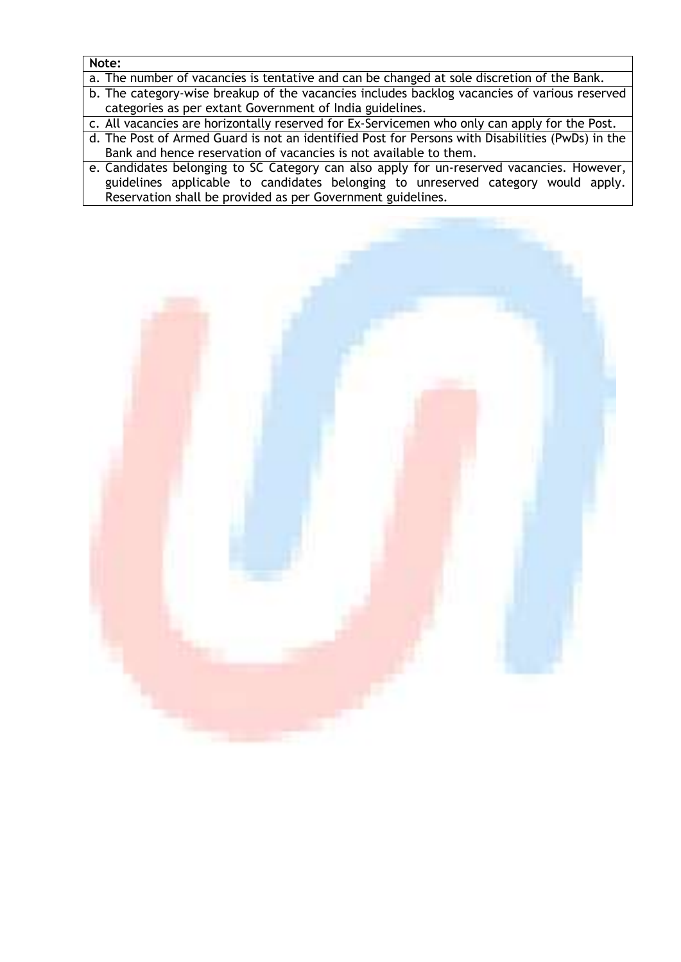# **Note:**

- a. The number of vacancies is tentative and can be changed at sole discretion of the Bank.
- b. The category-wise breakup of the vacancies includes backlog vacancies of various reserved categories as per extant Government of India guidelines.
- c. All vacancies are horizontally reserved for Ex-Servicemen who only can apply for the Post.
- d. The Post of Armed Guard is not an identified Post for Persons with Disabilities (PwDs) in the Bank and hence reservation of vacancies is not available to them.
- e. Candidates belonging to SC Category can also apply for un-reserved vacancies. However, guidelines applicable to candidates belonging to unreserved category would apply. Reservation shall be provided as per Government guidelines.

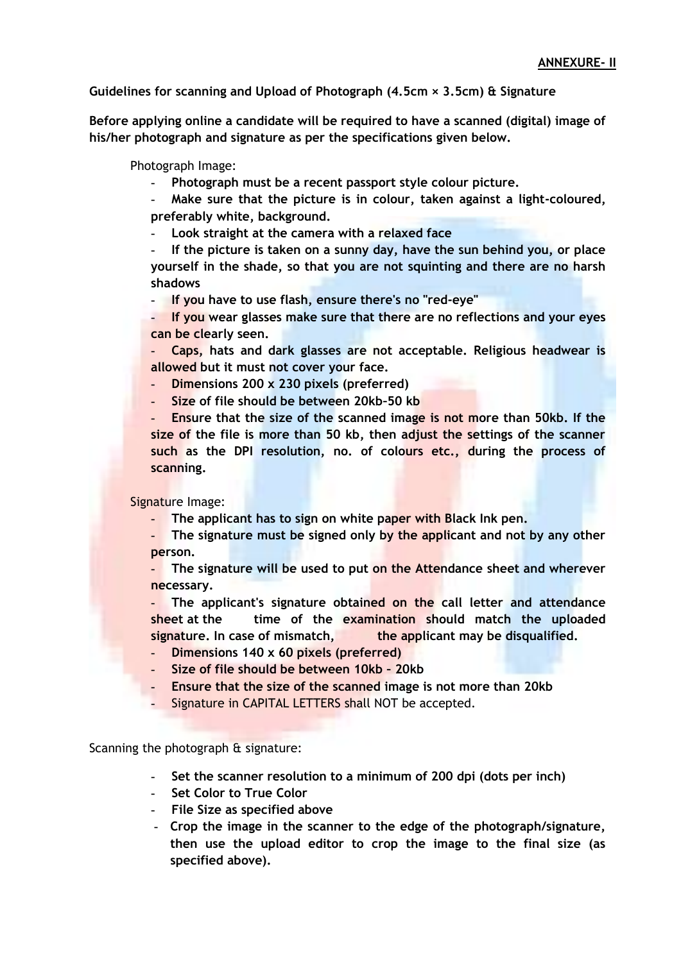**Guidelines for scanning and Upload of Photograph (4.5cm × 3.5cm) & Signature** 

**Before applying online a candidate will be required to have a scanned (digital) image of his/her photograph and signature as per the specifications given below.**

Photograph Image:

- **- Photograph must be a recent passport style colour picture.**
- **- Make sure that the picture is in colour, taken against a light-coloured, preferably white, background.**
- **- Look straight at the camera with a relaxed face**

**- If the picture is taken on a sunny day, have the sun behind you, or place yourself in the shade, so that you are not squinting and there are no harsh shadows** 

**- If you have to use flash, ensure there's no "red-eye"** 

**- If you wear glasses make sure that there are no reflections and your eyes can be clearly seen.** 

**- Caps, hats and dark glasses are not acceptable. Religious headwear is allowed but it must not cover your face.** 

- **- Dimensions 200 x 230 pixels (preferred)**
- **- Size of file should be between 20kb–50 kb**

**- Ensure that the size of the scanned image is not more than 50kb. If the size of the file is more than 50 kb, then adjust the settings of the scanner such as the DPI resolution, no. of colours etc., during the process of scanning.**

Signature Image:

- **- The applicant has to sign on white paper with Black Ink pen.**
- **- The signature must be signed only by the applicant and not by any other person.**

**- The signature will be used to put on the Attendance sheet and wherever necessary.** 

**- The applicant's signature obtained on the call letter and attendance sheet at the time of the examination should match the uploaded**  signature. In case of mismatch, **the applicant may be disqualified.** 

- **- Dimensions 140 x 60 pixels (preferred)**
- **- Size of file should be between 10kb – 20kb**
- **- Ensure that the size of the scanned image is not more than 20kb**
- **-** Signature in CAPITAL LETTERS shall NOT be accepted.

Scanning the photograph & signature:

- **- Set the scanner resolution to a minimum of 200 dpi (dots per inch)**
- **- Set Color to True Color**
- **- File Size as specified above**
- **- Crop the image in the scanner to the edge of the photograph/signature, then use the upload editor to crop the image to the final size (as specified above).**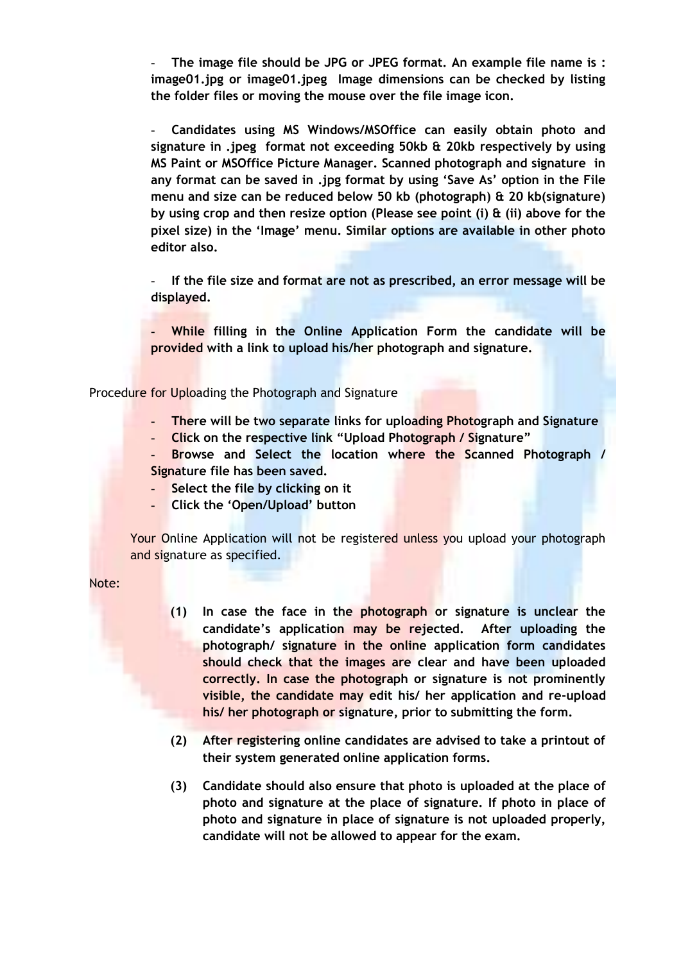**- The image file should be JPG or JPEG format. An example file name is : image01.jpg or image01.jpeg Image dimensions can be checked by listing the folder files or moving the mouse over the file image icon.**

**- Candidates using MS Windows/MSOffice can easily obtain photo and signature in .jpeg format not exceeding 50kb & 20kb respectively by using MS Paint or MSOffice Picture Manager. Scanned photograph and signature in any format can be saved in .jpg format by using 'Save As' option in the File menu and size can be reduced below 50 kb (photograph) & 20 kb(signature) by using crop and then resize option (Please see point (i) & (ii) above for the pixel size) in the 'Image' menu. Similar options are available in other photo editor also.** 

**- If the file size and format are not as prescribed, an error message will be displayed.** 

**- While filling in the Online Application Form the candidate will be provided with a link to upload his/her photograph and signature.** 

Procedure for Uploading the Photograph and Signature

- **- There will be two separate links for uploading Photograph and Signature**
- **- Click on the respective link "Upload Photograph / Signature"**
- **- Browse and Select the location where the Scanned Photograph / Signature file has been saved.**
- **- Select the file by clicking on it**
- **- Click the 'Open/Upload' button**

Your Online Application will not be registered unless you upload your photograph and signature as specified.

Note:

- **(1) In case the face in the photograph or signature is unclear the candidate's application may be rejected. After uploading the photograph/ signature in the online application form candidates should check that the images are clear and have been uploaded correctly. In case the photograph or signature is not prominently visible, the candidate may edit his/ her application and re-upload his/ her photograph or signature, prior to submitting the form.**
- **(2) After registering online candidates are advised to take a printout of their system generated online application forms.**
- **(3) Candidate should also ensure that photo is uploaded at the place of photo and signature at the place of signature. If photo in place of photo and signature in place of signature is not uploaded properly, candidate will not be allowed to appear for the exam.**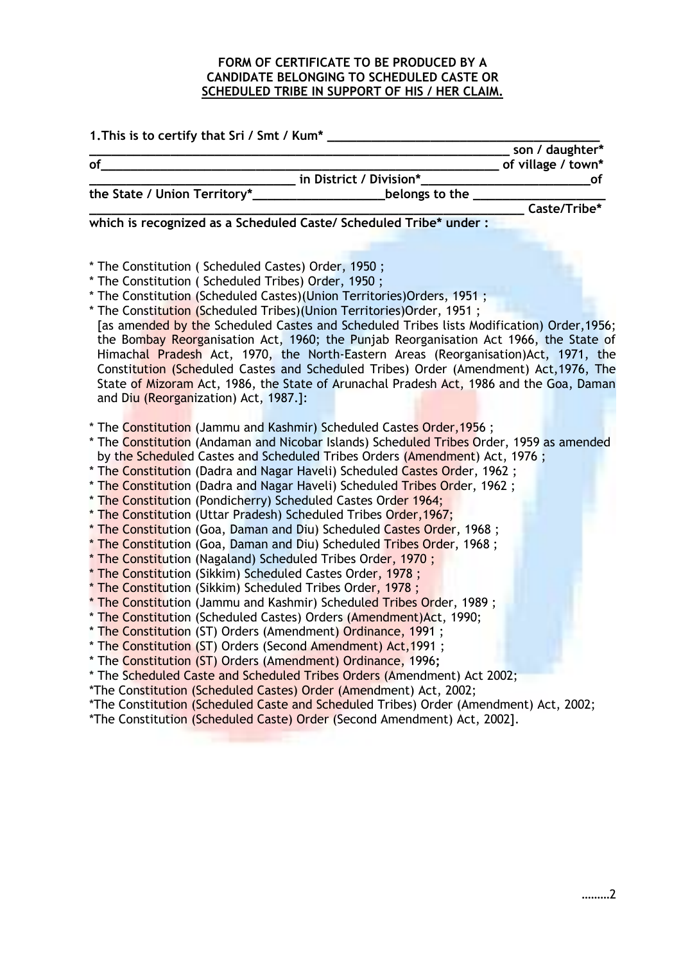# **FORM OF CERTIFICATE TO BE PRODUCED BY A CANDIDATE BELONGING TO SCHEDULED CASTE OR SCHEDULED TRIBE IN SUPPORT OF HIS / HER CLAIM.**

| 1. This is to certify that Sri / Smt / Kum*                                                                                                                                                                                                                                                                                                                                                                                                                                                                                                                                                                                                                                                                                                                                                                                                                                                                                                                                                                                                                                                                                                                                                                                                                                                                                                                                                                                                                                                                                                                                                                                                                                                                                                                                                                                                                                                                                                                                                                                                                                                                                                                                                                                                                                                                                        |                          |
|------------------------------------------------------------------------------------------------------------------------------------------------------------------------------------------------------------------------------------------------------------------------------------------------------------------------------------------------------------------------------------------------------------------------------------------------------------------------------------------------------------------------------------------------------------------------------------------------------------------------------------------------------------------------------------------------------------------------------------------------------------------------------------------------------------------------------------------------------------------------------------------------------------------------------------------------------------------------------------------------------------------------------------------------------------------------------------------------------------------------------------------------------------------------------------------------------------------------------------------------------------------------------------------------------------------------------------------------------------------------------------------------------------------------------------------------------------------------------------------------------------------------------------------------------------------------------------------------------------------------------------------------------------------------------------------------------------------------------------------------------------------------------------------------------------------------------------------------------------------------------------------------------------------------------------------------------------------------------------------------------------------------------------------------------------------------------------------------------------------------------------------------------------------------------------------------------------------------------------------------------------------------------------------------------------------------------------|--------------------------|
|                                                                                                                                                                                                                                                                                                                                                                                                                                                                                                                                                                                                                                                                                                                                                                                                                                                                                                                                                                                                                                                                                                                                                                                                                                                                                                                                                                                                                                                                                                                                                                                                                                                                                                                                                                                                                                                                                                                                                                                                                                                                                                                                                                                                                                                                                                                                    | son / daughter*          |
| of<br>___ in District / Division*                                                                                                                                                                                                                                                                                                                                                                                                                                                                                                                                                                                                                                                                                                                                                                                                                                                                                                                                                                                                                                                                                                                                                                                                                                                                                                                                                                                                                                                                                                                                                                                                                                                                                                                                                                                                                                                                                                                                                                                                                                                                                                                                                                                                                                                                                                  | of village / town*<br>οf |
| the State / Union Territory*________<br>belongs to the ____                                                                                                                                                                                                                                                                                                                                                                                                                                                                                                                                                                                                                                                                                                                                                                                                                                                                                                                                                                                                                                                                                                                                                                                                                                                                                                                                                                                                                                                                                                                                                                                                                                                                                                                                                                                                                                                                                                                                                                                                                                                                                                                                                                                                                                                                        |                          |
|                                                                                                                                                                                                                                                                                                                                                                                                                                                                                                                                                                                                                                                                                                                                                                                                                                                                                                                                                                                                                                                                                                                                                                                                                                                                                                                                                                                                                                                                                                                                                                                                                                                                                                                                                                                                                                                                                                                                                                                                                                                                                                                                                                                                                                                                                                                                    | Caste/Tribe*             |
| which is recognized as a Scheduled Caste/ Scheduled Tribe* under :                                                                                                                                                                                                                                                                                                                                                                                                                                                                                                                                                                                                                                                                                                                                                                                                                                                                                                                                                                                                                                                                                                                                                                                                                                                                                                                                                                                                                                                                                                                                                                                                                                                                                                                                                                                                                                                                                                                                                                                                                                                                                                                                                                                                                                                                 |                          |
|                                                                                                                                                                                                                                                                                                                                                                                                                                                                                                                                                                                                                                                                                                                                                                                                                                                                                                                                                                                                                                                                                                                                                                                                                                                                                                                                                                                                                                                                                                                                                                                                                                                                                                                                                                                                                                                                                                                                                                                                                                                                                                                                                                                                                                                                                                                                    |                          |
| * The Constitution (Scheduled Castes) Order, 1950;<br>* The Constitution ( Scheduled Tribes) Order, 1950;<br>* The Constitution (Scheduled Castes) (Union Territories) Orders, 1951;<br>* The Constitution (Scheduled Tribes)(Union Territories) Order, 1951;<br>[as amended by the Scheduled Castes and Scheduled Tribes lists Modification) Order, 1956;<br>the Bombay Reorganisation Act, 1960; the Punjab Reorganisation Act 1966, the State of<br>Himachal Pradesh Act, 1970, the North-Eastern Areas (Reorganisation)Act, 1971, the<br>Constitution (Scheduled Castes and Scheduled Tribes) Order (Amendment) Act, 1976, The<br>State of Mizoram Act, 1986, the State of Arunachal Pradesh Act, 1986 and the Goa, Daman<br>and Diu (Reorganization) Act, 1987.]:<br>* The Constitution (Jammu and Kashmir) Scheduled Castes Order, 1956;<br>* The Constitution (Andaman and Nicobar Islands) Scheduled Tribes Order, 1959 as amended<br>by the Scheduled Castes and Scheduled Tribes Orders (Amendment) Act, 1976;<br>* The Constitution (Dadra and Nagar Haveli) Scheduled Castes Order, 1962;<br>* The Constitution (Dadra and Nagar Haveli) Scheduled Tribes Order, 1962;<br>* The Constitution (Pondicherry) Scheduled Castes Order 1964;<br>* The Constitution (Uttar Pradesh) Scheduled Tribes Order, 1967;<br>* The Constitution (Goa, Daman and Diu) Scheduled Castes Order, 1968;<br>* The Constitution (Goa, Daman and Diu) Scheduled Tribes Order, 1968;<br>* The Constitution (Nagaland) Scheduled Tribes Order, 1970;<br>* The Constitution (Sikkim) Scheduled Castes Order, 1978;<br>* The Constitution (Sikkim) Scheduled Tribes Order, 1978;<br>* The Constitution (Jammu and Kashmir) Scheduled Tribes Order, 1989;<br>* The Constitution (Scheduled Castes) Orders (Amendment) Act, 1990;<br>* The Constitution (ST) Orders (Amendment) Ordinance, 1991;<br>The Constitution (ST) Orders (Second Amendment) Act, 1991;<br>* The Constitution (ST) Orders (Amendment) Ordinance, 1996;<br>* The Scheduled Caste and Scheduled Tribes Orders (Amendment) Act 2002;<br>*The Constitution (Scheduled Castes) Order (Amendment) Act, 2002;<br>*The Constitution (Scheduled Caste and Scheduled Tribes) Order (Amendment) Act, 2002;<br>*The Constitution (Scheduled Caste) Order (Second Amendment) Act, 2002]. |                          |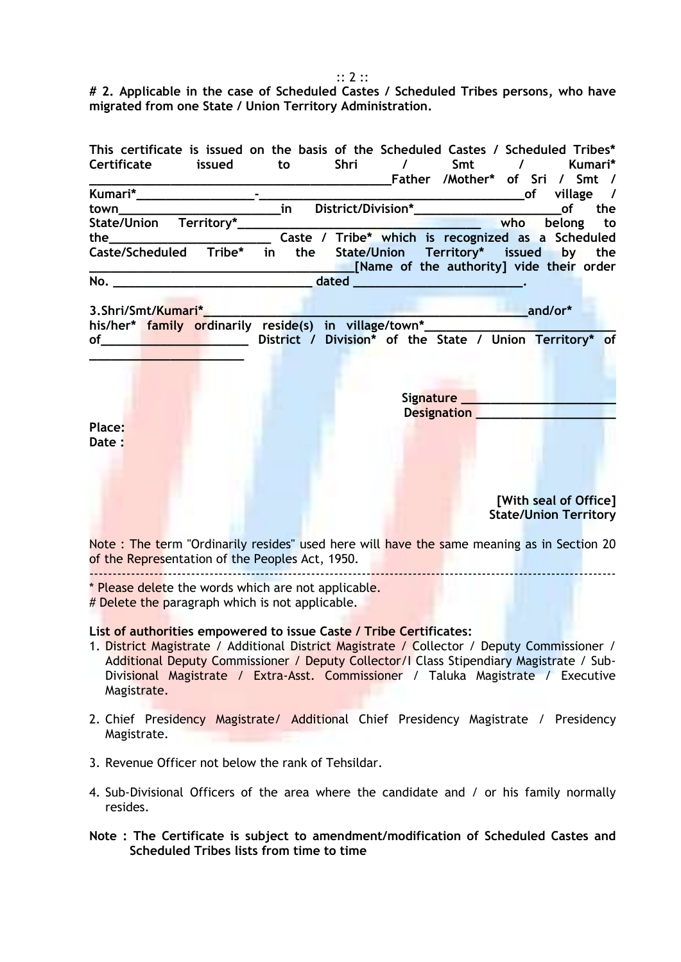**# 2. Applicable in the case of Scheduled Castes / Scheduled Tribes persons, who have migrated from one State / Union Territory Administration.** 

| This certificate is issued on the basis of the Scheduled Castes / Scheduled Tribes*                                                                                                                                                                                                                                                                                                                                                                                        |
|----------------------------------------------------------------------------------------------------------------------------------------------------------------------------------------------------------------------------------------------------------------------------------------------------------------------------------------------------------------------------------------------------------------------------------------------------------------------------|
| Certificate issued<br>Shri /<br>Smt /<br>Kumari*<br>to                                                                                                                                                                                                                                                                                                                                                                                                                     |
|                                                                                                                                                                                                                                                                                                                                                                                                                                                                            |
| of the control of the control of the control of the control of the control of the control of the control of th<br>Separate control of the control of the control of the control of the control of the control of the control of t<br>the                                                                                                                                                                                                                                   |
| who belong to                                                                                                                                                                                                                                                                                                                                                                                                                                                              |
|                                                                                                                                                                                                                                                                                                                                                                                                                                                                            |
| Caste/Scheduled Tribe* in<br>the State/Union Territory* issued by the<br>[Name of the authority] vide their order                                                                                                                                                                                                                                                                                                                                                          |
|                                                                                                                                                                                                                                                                                                                                                                                                                                                                            |
|                                                                                                                                                                                                                                                                                                                                                                                                                                                                            |
| and/or*                                                                                                                                                                                                                                                                                                                                                                                                                                                                    |
| his/her* family ordinarily reside(s) in village/town*______                                                                                                                                                                                                                                                                                                                                                                                                                |
| District / Division* of the State / Union Territory* of<br>$of$ and $\overline{\phantom{a}}$ and $\overline{\phantom{a}}$ and $\overline{\phantom{a}}$ and $\overline{\phantom{a}}$ and $\overline{\phantom{a}}$ and $\overline{\phantom{a}}$ and $\overline{\phantom{a}}$ and $\overline{\phantom{a}}$ and $\overline{\phantom{a}}$ and $\overline{\phantom{a}}$ and $\overline{\phantom{a}}$ and $\overline{\phantom{a}}$ and $\overline{\phantom{a}}$ and $\overline{\$ |
| Signature ________________________<br>Designation Production Production Communication                                                                                                                                                                                                                                                                                                                                                                                      |
| Place:<br>Date:                                                                                                                                                                                                                                                                                                                                                                                                                                                            |
| [With seal of Office]<br><b>State/Union Territory</b>                                                                                                                                                                                                                                                                                                                                                                                                                      |
| Note: The term "Ordinarily resides" used here will have the same meaning as in Section 20                                                                                                                                                                                                                                                                                                                                                                                  |

of the Representation of the Peoples Act, 1950.

------------------------------------------------------------------------------------------------------------------ \* Please delete the words which are not applicable.

# Delete the paragraph which is not applicable.

**List of authorities empowered to issue Caste / Tribe Certificates:** 

- 1. District Magistrate / Additional District Magistrate / Collector / Deputy Commissioner / Additional Deputy Commissioner / Deputy Collector/I Class Stipendiary Magistrate / Sub-Divisional Magistrate / Extra-Asst. Commissioner / Taluka Magistrate / Executive Magistrate.
- 2. Chief Presidency Magistrate/ Additional Chief Presidency Magistrate / Presidency Magistrate.
- 3. Revenue Officer not below the rank of Tehsildar.
- 4. Sub-Divisional Officers of the area where the candidate and / or his family normally resides.

**Note : The Certificate is subject to amendment/modification of Scheduled Castes and Scheduled Tribes lists from time to time** 

:: 2 ::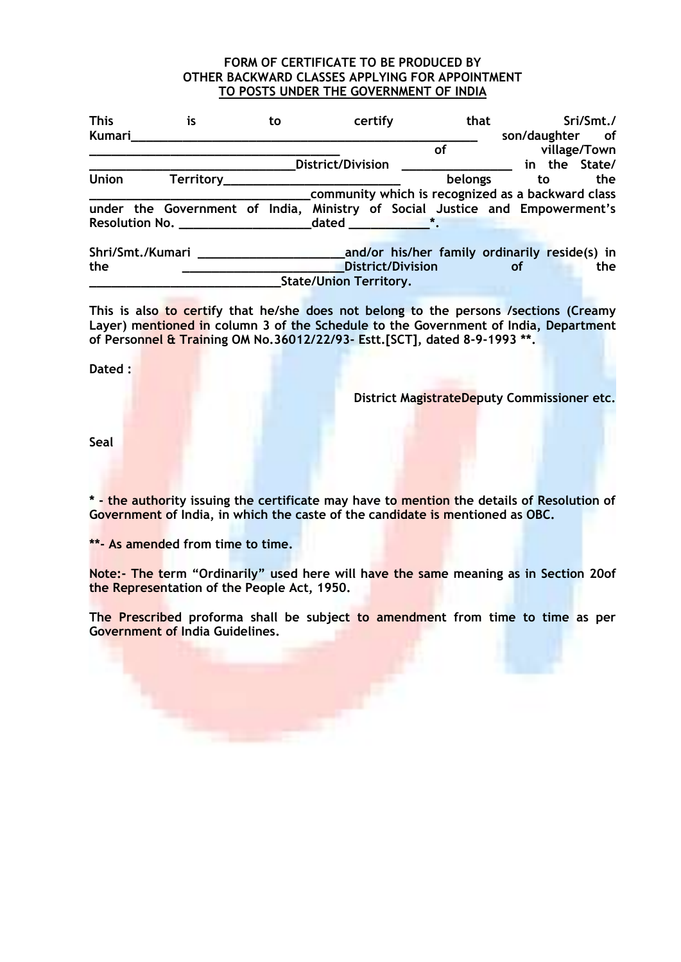#### **FORM OF CERTIFICATE TO BE PRODUCED BY OTHER BACKWARD CLASSES APPLYING FOR APPOINTMENT TO POSTS UNDER THE GOVERNMENT OF INDIA**

| <b>This</b><br>Kumari | is                                                                          | to | certify                                                                                                                                                                                                                              | that    | son/daughter of | Sri/Smt./    |
|-----------------------|-----------------------------------------------------------------------------|----|--------------------------------------------------------------------------------------------------------------------------------------------------------------------------------------------------------------------------------------|---------|-----------------|--------------|
|                       |                                                                             |    |                                                                                                                                                                                                                                      | οf      |                 | village/Town |
|                       |                                                                             |    | <b>District/Division</b>                                                                                                                                                                                                             |         | in the State/   |              |
| <b>Union</b>          |                                                                             |    |                                                                                                                                                                                                                                      | belongs | to              | the          |
|                       |                                                                             |    | community which is recognized as a backward class                                                                                                                                                                                    |         |                 |              |
|                       | under the Government of India, Ministry of Social Justice and Empowerment's |    |                                                                                                                                                                                                                                      |         |                 |              |
|                       | Resolution No. _________________                                            |    | dated <b>the state of the state of the state of the state of the state of the state of the state of the state of the state of the state of the state of the state of the state of the state of the state of the state of the sta</b> |         |                 |              |
|                       |                                                                             |    |                                                                                                                                                                                                                                      |         |                 |              |

**Shri/Smt./Kumari \_\_\_\_\_\_\_\_\_\_\_\_\_\_\_\_\_\_\_\_and/or his/her family ordinarily reside(s) in the \_\_\_\_\_\_\_\_\_\_\_\_\_\_\_\_\_\_\_\_\_\_District/Division of the State/Union Territory.** 

**This is also to certify that he/she does not belong to the persons /sections (Creamy Layer) mentioned in column 3 of the Schedule to the Government of India, Department of Personnel & Training OM No.36012/22/93- Estt.[SCT], dated 8-9-1993 \*\*.** 

**Dated :**

**District MagistrateDeputy Commissioner etc.** 

**Seal** 

**\* - the authority issuing the certificate may have to mention the details of Resolution of Government of India, in which the caste of the candidate is mentioned as OBC.** 

**\*\*- As amended from time to time.** 

**Note:- The term "Ordinarily" used here will have the same meaning as in Section 20of the Representation of the People Act, 1950.** 

**The Prescribed proforma shall be subject to amendment from time to time as per Government of India Guidelines.**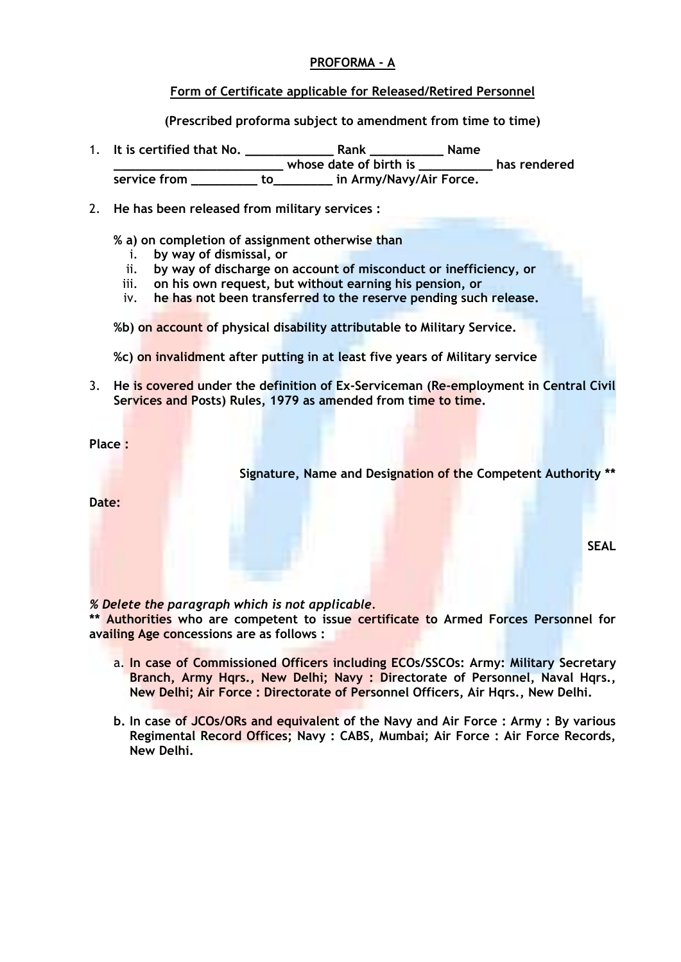# **PROFORMA - A**

# **Form of Certificate applicable for Released/Retired Personnel**

**(Prescribed proforma subject to amendment from time to time)**

1. **It is certified that No. \_\_\_\_\_\_\_\_\_\_\_\_ Rank \_\_\_\_\_\_\_\_\_\_ Name \_\_\_\_\_\_\_\_\_\_\_\_\_\_\_\_\_\_\_\_\_\_\_ whose date of birth is \_\_\_\_\_\_\_\_\_\_ has rendered service from \_\_\_\_\_\_\_\_\_ to\_\_\_\_\_\_\_\_ in Army/Navy/Air Force.** 

2. **He has been released from military services :** 

**% a) on completion of assignment otherwise than** 

- i. **by way of dismissal, or**
- ii. **by way of discharge on account of misconduct or inefficiency, or**
- iii. **on his own request, but without earning his pension, or**
- iv. **he has not been transferred to the reserve pending such release.**
- **%b) on account of physical disability attributable to Military Service.**
- **%c) on invalidment after putting in at least five years of Military service**
- 3. **He is covered under the definition of Ex-Serviceman (Re-employment in Central Civil Services and Posts) Rules, 1979 as amended from time to time.**

**Place :**

**Signature, Name and Designation of the Competent Authority \*\*** 

**Date:** 

**SEAL** 

*% Delete the paragraph which is not applicable.* 

**\*\* Authorities who are competent to issue certificate to Armed Forces Personnel for availing Age concessions are as follows :**

- a. **In case of Commissioned Officers including ECOs/SSCOs: Army: Military Secretary Branch, Army Hqrs., New Delhi; Navy : Directorate of Personnel, Naval Hqrs., New Delhi; Air Force : Directorate of Personnel Officers, Air Hqrs., New Delhi.**
- **b. In case of JCOs/ORs and equivalent of the Navy and Air Force : Army : By various Regimental Record Offices; Navy : CABS, Mumbai; Air Force : Air Force Records, New Delhi.**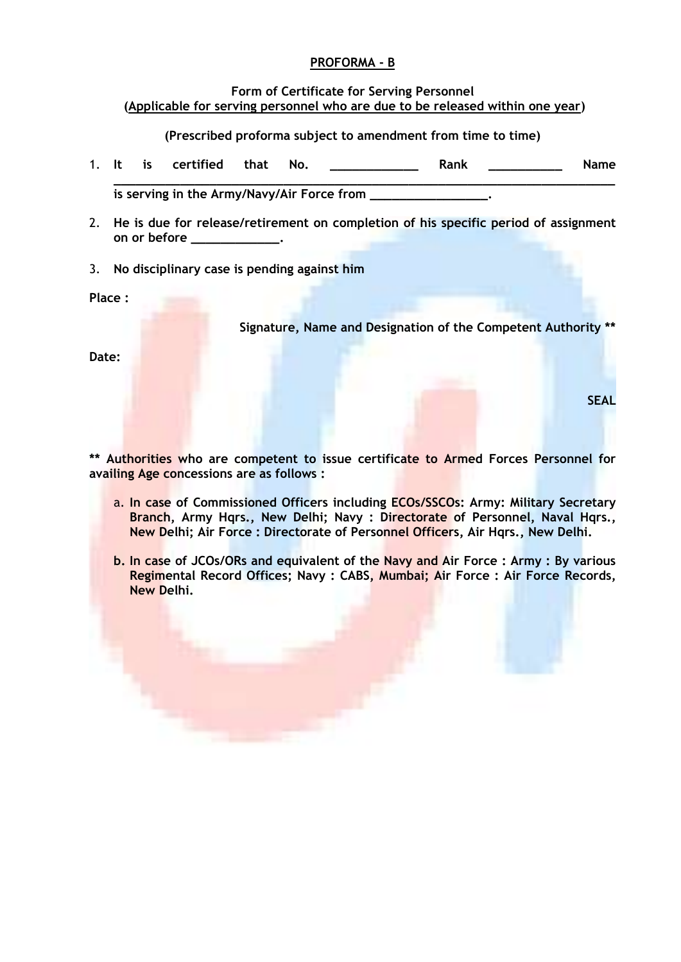# **PROFORMA - B**

#### **Form of Certificate for Serving Personnel (Applicable for serving personnel who are due to be released within one year)**

**(Prescribed proforma subject to amendment from time to time)**

1. **It is certified that No. \_\_\_\_\_\_\_\_\_\_\_\_ Rank \_\_\_\_\_\_\_\_\_\_ Name** 

**\_\_\_\_\_\_\_\_\_\_\_\_\_\_\_\_\_\_\_\_\_\_\_\_\_\_\_\_\_\_\_\_\_\_\_\_\_\_\_\_\_\_\_\_\_\_\_\_\_\_\_\_\_\_\_\_\_\_\_\_\_\_\_\_\_\_\_\_** is serving in the Army/Navy/Air Force from

- 2. **He is due for release/retirement on completion of his specific period of assignment on or before \_\_\_\_\_\_\_\_\_\_\_\_.**
- 3. **No disciplinary case is pending against him**

**Place :**

**Signature, Name and Designation of the Competent Authority \*\*** 

**SEAL**

**Date:** 

**\*\* Authorities who are competent to issue certificate to Armed Forces Personnel for availing Age concessions are as follows :**

- a. **In case of Commissioned Officers including ECOs/SSCOs: Army: Military Secretary Branch, Army Hqrs., New Delhi; Navy : Directorate of Personnel, Naval Hqrs., New Delhi; Air Force : Directorate of Personnel Officers, Air Hqrs., New Delhi.**
- **b. In case of JCOs/ORs and equivalent of the Navy and Air Force : Army : By various Regimental Record Offices; Navy : CABS, Mumbai; Air Force : Air Force Records, New Delhi.**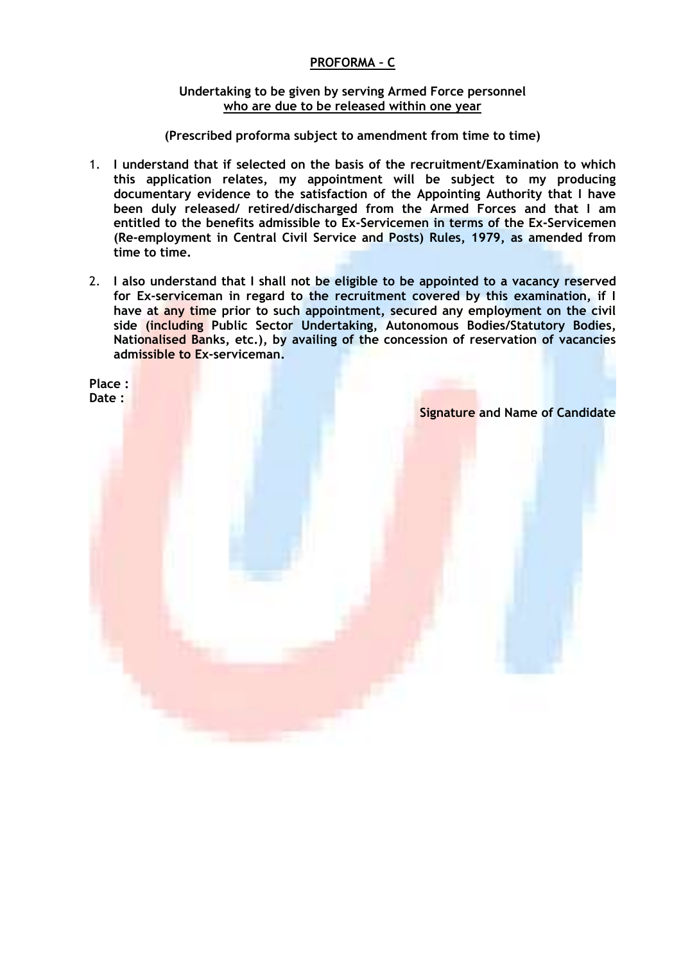# **PROFORMA – C**

### **Undertaking to be given by serving Armed Force personnel who are due to be released within one year**

**(Prescribed proforma subject to amendment from time to time)**

- 1. **I understand that if selected on the basis of the recruitment/Examination to which this application relates, my appointment will be subject to my producing documentary evidence to the satisfaction of the Appointing Authority that I have been duly released/ retired/discharged from the Armed Forces and that I am entitled to the benefits admissible to Ex-Servicemen in terms of the Ex-Servicemen (Re-employment in Central Civil Service and Posts) Rules, 1979, as amended from time to time.**
- 2. **I also understand that I shall not be eligible to be appointed to a vacancy reserved for Ex-serviceman in regard to the recruitment covered by this examination, if I have at any time prior to such appointment, secured any employment on the civil side (including Public Sector Undertaking, Autonomous Bodies/Statutory Bodies, Nationalised Banks, etc.), by availing of the concession of reservation of vacancies admissible to Ex-serviceman.**

**Place : Date :**

**Signature and Name of Candidate**